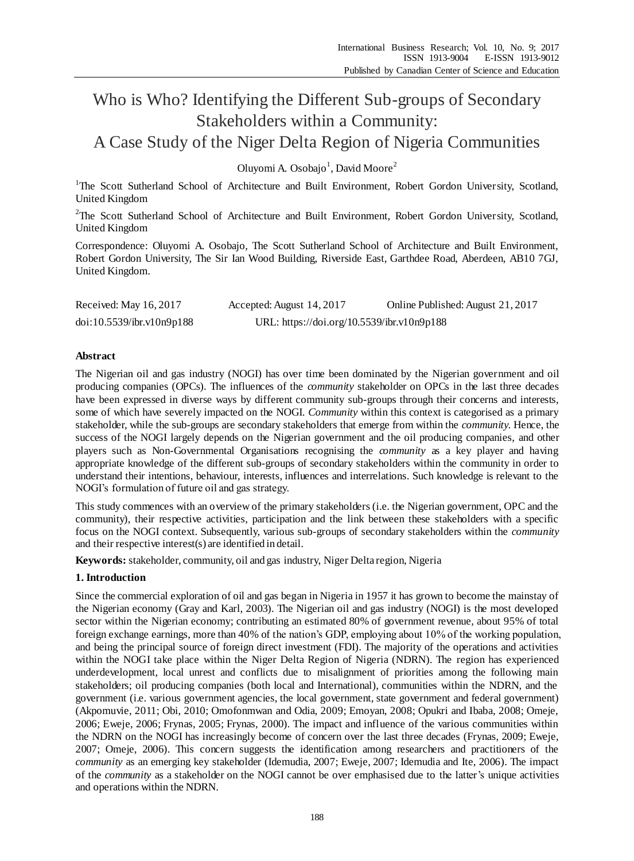# Who is Who? Identifying the Different Sub-groups of Secondary Stakeholders within a Community: A Case Study of the Niger Delta Region of Nigeria Communities

Oluyomi A. Osobajo<sup>1</sup>, David Moore<sup>2</sup>

<sup>1</sup>The Scott Sutherland School of Architecture and Built Environment, Robert Gordon University, Scotland, United Kingdom

<sup>2</sup>The Scott Sutherland School of Architecture and Built Environment, Robert Gordon University, Scotland, United Kingdom

Correspondence: Oluyomi A. Osobajo, The Scott Sutherland School of Architecture and Built Environment, Robert Gordon University, The Sir Ian Wood Building, Riverside East, Garthdee Road, Aberdeen, AB10 7GJ, United Kingdom.

| Received: May $16, 2017$  | Accepted: August 14, 2017                  | Online Published: August 21, 2017 |
|---------------------------|--------------------------------------------|-----------------------------------|
| doi:10.5539/ibr.v10n9p188 | URL: https://doi.org/10.5539/ibr.v10n9p188 |                                   |

# **Abstract**

The Nigerian oil and gas industry (NOGI) has over time been dominated by the Nigerian government and oil producing companies (OPCs). The influences of the *community* stakeholder on OPCs in the last three decades have been expressed in diverse ways by different community sub-groups through their concerns and interests, some of which have severely impacted on the NOGI. *Community* within this context is categorised as a primary stakeholder, while the sub-groups are secondary stakeholders that emerge from within the *community.* Hence, the success of the NOGI largely depends on the Nigerian government and the oil producing companies, and other players such as Non-Governmental Organisations recognising the *community* as a key player and having appropriate knowledge of the different sub-groups of secondary stakeholders within the community in order to understand their intentions, behaviour, interests, influences and interrelations. Such knowledge is relevant to the NOGI's formulation of future oil and gas strategy.

This study commences with an overview of the primary stakeholders (i.e. the Nigerian government, OPC and the community), their respective activities, participation and the link between these stakeholders with a specific focus on the NOGI context. Subsequently, various sub-groups of secondary stakeholders within the *community* and their respective interest(s) are identified in detail.

**Keywords:** stakeholder, community, oil and gas industry, Niger Delta region, Nigeria

# **1. Introduction**

Since the commercial exploration of oil and gas began in Nigeria in 1957 it has grown to become the mainstay of the Nigerian economy (Gray and Karl, 2003). The Nigerian oil and gas industry (NOGI) is the most developed sector within the Nigerian economy; contributing an estimated 80% of government revenue, about 95% of total foreign exchange earnings, more than 40% of the nation's GDP, employing about 10% of the working population, and being the principal source of foreign direct investment (FDI). The majority of the operations and activities within the NOGI take place within the Niger Delta Region of Nigeria (NDRN). The region has experienced underdevelopment, local unrest and conflicts due to misalignment of priorities among the following main stakeholders; oil producing companies (both local and International), communities within the NDRN, and the government (i.e. various government agencies, the local government, state government and federal government) (Akpomuvie, 2011; Obi, 2010; Omofonmwan and Odia, 2009; Emoyan, 2008; Opukri and Ibaba, 2008; Omeje, 2006; Eweje, 2006; Frynas, 2005; Frynas, 2000). The impact and influence of the various communities within the NDRN on the NOGI has increasingly become of concern over the last three decades (Frynas, 2009; Eweje, 2007; Omeje, 2006). This concern suggests the identification among researchers and practitioners of the *community* as an emerging key stakeholder (Idemudia, 2007; Eweje, 2007; Idemudia and Ite, 2006). The impact of the *community* as a stakeholder on the NOGI cannot be over emphasised due to the latter's unique activities and operations within the NDRN.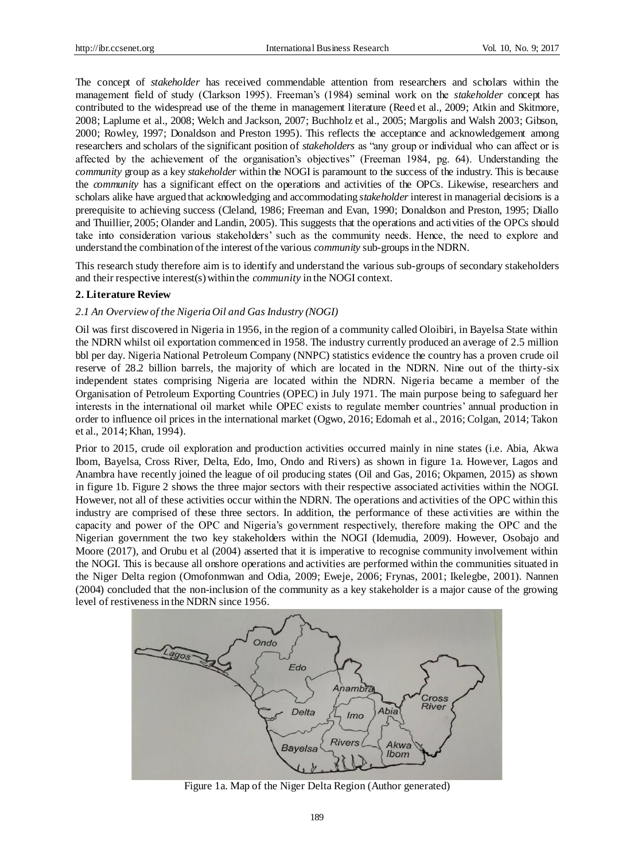The concept of *stakeholder* has received commendable attention from researchers and scholars within the management field of study (Clarkson 1995). Freeman's (1984) seminal work on the *stakeholder* concept has contributed to the widespread use of the theme in management literature (Reed et al., 2009; Atkin and Skitmore, 2008; Laplume et al., 2008; Welch and Jackson, 2007; Buchholz et al., 2005; Margolis and Walsh 2003; Gibson, 2000; Rowley, 1997; Donaldson and Preston 1995). This reflects the acceptance and acknowledgement among researchers and scholars of the significant position of *stakeholders* as "any group or individual who can affect or is affected by the achievement of the organisation's objectives" (Freeman 1984, pg. 64). Understanding the *community* group as a key *stakeholder* within the NOGI is paramount to the success of the industry. This is because the *community* has a significant effect on the operations and activities of the OPCs. Likewise, researchers and scholars alike have argued that acknowledging and accommodating *stakeholder* interest in managerial decisions is a prerequisite to achieving success (Cleland, 1986; Freeman and Evan, 1990; Donaldson and Preston, 1995; Diallo and Thuillier, 2005; Olander and Landin, 2005). This suggests that the operations and activities of the OPCs should take into consideration various stakeholders' such as the community needs. Hence, the need to explore and understand the combination of the interest of the various *community* sub-groups in the NDRN.

This research study therefore aim is to identify and understand the various sub-groups of secondary stakeholders and their respective interest(s) within the *community* in the NOGI context.

## **2. Literature Review**

## *2.1 An Overview of the Nigeria Oil and Gas Industry (NOGI)*

Oil was first discovered in Nigeria in 1956, in the region of a community called Oloibiri, in Bayelsa State within the NDRN whilst oil exportation commenced in 1958. The industry currently produced an average of 2.5 million bbl per day. Nigeria National Petroleum Company (NNPC) statistics evidence the country has a proven crude oil reserve of 28.2 billion barrels, the majority of which are located in the NDRN. Nine out of the thirty-six independent states comprising Nigeria are located within the NDRN. Nigeria became a member of the Organisation of Petroleum Exporting Countries (OPEC) in July 1971. The main purpose being to safeguard her interests in the international oil market while OPEC exists to regulate member countries' annual production in order to influence oil prices in the international market (Ogwo, 2016; Edomah et al., 2016; Colgan, 2014; Takon et al., 2014; Khan, 1994).

Prior to 2015, crude oil exploration and production activities occurred mainly in nine states (i.e. Abia, Akwa Ibom, Bayelsa, Cross River, Delta, Edo, Imo, Ondo and Rivers) as shown in figure 1a. However, Lagos and Anambra have recently joined the league of oil producing states (Oil and Gas, 2016; Okpamen, 2015) as shown in figure 1b. Figure 2 shows the three major sectors with their respective associated activities within the NOGI. However, not all of these activities occur within the NDRN. The operations and activities of the OPC within this industry are comprised of these three sectors. In addition, the performance of these activities are within the capacity and power of the OPC and Nigeria's government respectively, therefore making the OPC and the Nigerian government the two key stakeholders within the NOGI (Idemudia, 2009). However, Osobajo and Moore (2017), and Orubu et al (2004) asserted that it is imperative to recognise community involvement within the NOGI. This is because all onshore operations and activities are performed within the communities situated in the Niger Delta region (Omofonmwan and Odia, 2009; Eweje, 2006; Frynas, 2001; Ikelegbe, 2001). Nannen (2004) concluded that the non-inclusion of the community as a key stakeholder is a major cause of the growing level of restiveness in the NDRN since 1956.



Figure 1a. Map of the Niger Delta Region (Author generated)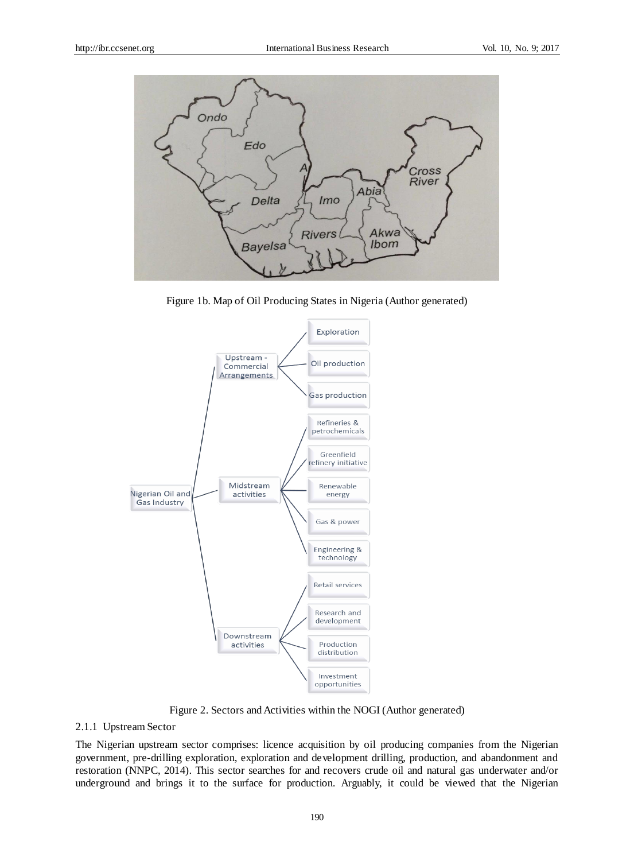

Figure 1b. Map of Oil Producing States in Nigeria (Author generated)



Figure 2. Sectors and Activities within the NOGI (Author generated)

# 2.1.1 Upstream Sector

The Nigerian upstream sector comprises: licence acquisition by oil producing companies from the Nigerian government, pre-drilling exploration, exploration and development drilling, production, and abandonment and restoration (NNPC, 2014). This sector searches for and recovers crude oil and natural gas underwater and/or underground and brings it to the surface for production. Arguably, it could be viewed that the Nigerian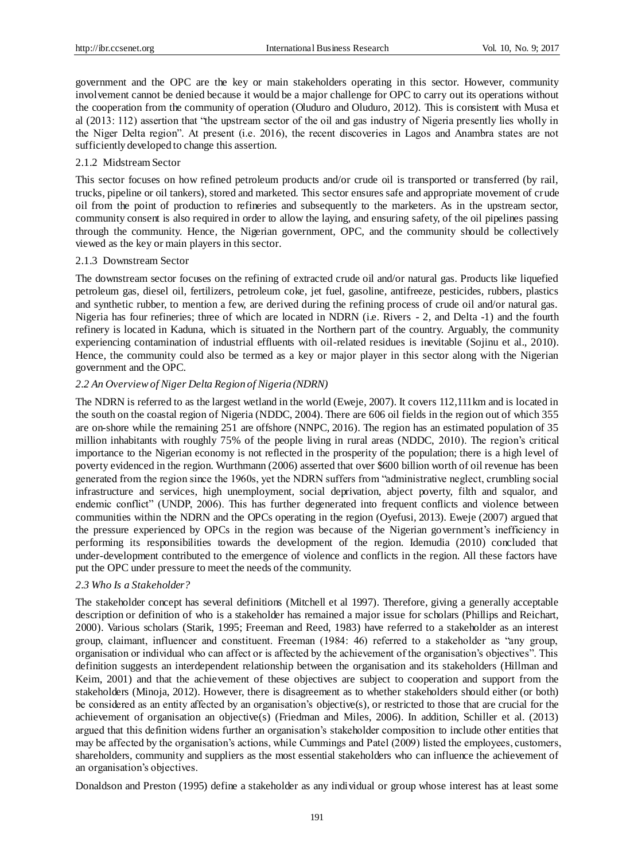government and the OPC are the key or main stakeholders operating in this sector. However, community involvement cannot be denied because it would be a major challenge for OPC to carry out its operations without the cooperation from the community of operation (Oluduro and Oluduro, 2012). This is consistent with Musa et al (2013: 112) assertion that "the upstream sector of the oil and gas industry of Nigeria presently lies wholly in the Niger Delta region". At present (i.e. 2016), the recent discoveries in Lagos and Anambra states are not sufficiently developed to change this assertion.

## 2.1.2 Midstream Sector

This sector focuses on how refined petroleum products and/or crude oil is transported or transferred (by rail, trucks, pipeline or oil tankers), stored and marketed. This sector ensures safe and appropriate movement of crude oil from the point of production to refineries and subsequently to the marketers. As in the upstream sector, community consent is also required in order to allow the laying, and ensuring safety, of the oil pipelines passing through the community. Hence, the Nigerian government, OPC, and the community should be collectively viewed as the key or main players in this sector.

## 2.1.3 Downstream Sector

The downstream sector focuses on the refining of extracted crude oil and/or natural gas. Products like liquefied petroleum gas, diesel oil, fertilizers, petroleum coke, jet fuel, gasoline, antifreeze, pesticides, rubbers, plastics and synthetic rubber, to mention a few, are derived during the refining process of crude oil and/or natural gas. Nigeria has four refineries; three of which are located in NDRN (i.e. Rivers - 2, and Delta -1) and the fourth refinery is located in Kaduna, which is situated in the Northern part of the country. Arguably, the community experiencing contamination of industrial effluents with oil-related residues is inevitable (Sojinu et al., 2010). Hence, the community could also be termed as a key or major player in this sector along with the Nigerian government and the OPC.

# *2.2 An Overview of Niger Delta Region of Nigeria (NDRN)*

The NDRN is referred to as the largest wetland in the world (Eweje, 2007). It covers 112,111km and is located in the south on the coastal region of Nigeria (NDDC, 2004). There are 606 oil fields in the region out of which 355 are on-shore while the remaining 251 are offshore (NNPC, 2016). The region has an estimated population of 35 million inhabitants with roughly 75% of the people living in rural areas (NDDC, 2010). The region's critical importance to the Nigerian economy is not reflected in the prosperity of the population; there is a high level of poverty evidenced in the region. Wurthmann (2006) asserted that over \$600 billion worth of oil revenue has been generated from the region since the 1960s, yet the NDRN suffers from "administrative neglect, crumbling social infrastructure and services, high unemployment, social deprivation, abject poverty, filth and squalor, and endemic conflict" (UNDP, 2006). This has further degenerated into frequent conflicts and violence between communities within the NDRN and the OPCs operating in the region (Oyefusi, 2013). Eweje (2007) argued that the pressure experienced by OPCs in the region was because of the Nigerian government's inefficiency in performing its responsibilities towards the development of the region. Idemudia (2010) concluded that under-development contributed to the emergence of violence and conflicts in the region. All these factors have put the OPC under pressure to meet the needs of the community.

# *2.3 Who Is a Stakeholder?*

The stakeholder concept has several definitions (Mitchell et al 1997). Therefore, giving a generally acceptable description or definition of who is a stakeholder has remained a major issue for scholars (Phillips and Reichart, 2000). Various scholars (Starik, 1995; Freeman and Reed, 1983) have referred to a stakeholder as an interest group, claimant, influencer and constituent. Freeman (1984: 46) referred to a stakeholder as "any group, organisation or individual who can affect or is affected by the achievement of the organisation's objectives". This definition suggests an interdependent relationship between the organisation and its stakeholders (Hillman and Keim, 2001) and that the achievement of these objectives are subject to cooperation and support from the stakeholders (Minoja, 2012). However, there is disagreement as to whether stakeholders should either (or both) be considered as an entity affected by an organisation's objective(s), or restricted to those that are crucial for the achievement of organisation an objective(s) (Friedman and Miles, 2006). In addition, Schiller et al. (2013) argued that this definition widens further an organisation's stakeholder composition to include other entities that may be affected by the organisation's actions, while Cummings and Patel (2009) listed the employees, customers, shareholders, community and suppliers as the most essential stakeholders who can influence the achievement of an organisation's objectives.

Donaldson and Preston (1995) define a stakeholder as any individual or group whose interest has at least some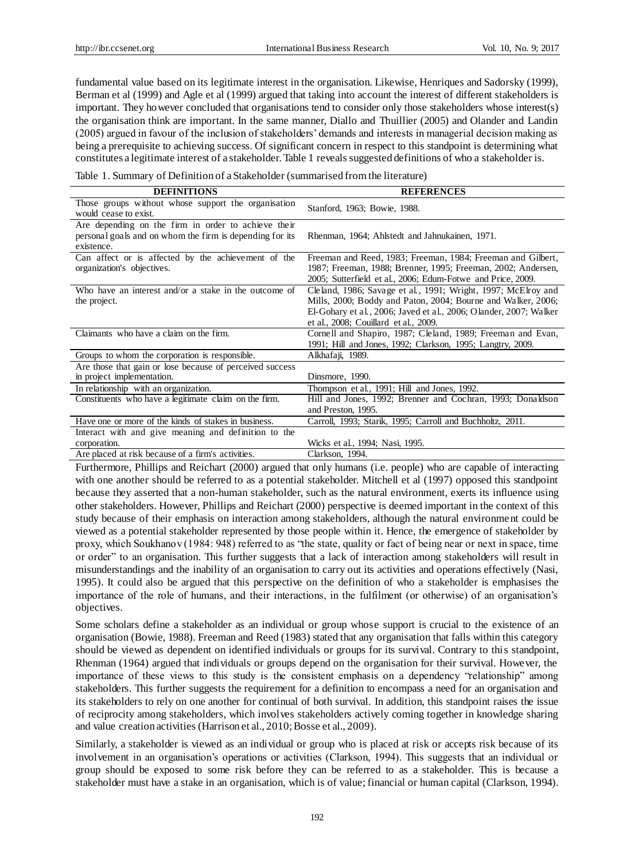fundamental value based on its legitimate interest in the organisation. Likewise, Henriques and Sadorsky (1999), Berman et al (1999) and Agle et al (1999) argued that taking into account the interest of different stakeholders is important. They however concluded that organisations tend to consider only those stakeholders whose interest(s) the organisation think are important. In the same manner, Diallo and Thuillier (2005) and Olander and Landin (2005) argued in favour of the inclusion of stakeholders' demands and interests in managerial decision making as being a prerequisite to achieving success. Of significant concern in respect to this standpoint is determining what constitutes a legitimate interest of a stakeholder. Table 1 reveals suggested definitions of who a stakeholder is.

Table 1. Summary of Definition of a Stakeholder (summarised from the literature)

| <b>DEFINITIONS</b>                                                                                                            | <b>REFERENCES</b>                                                                                                                                                                                                                           |  |
|-------------------------------------------------------------------------------------------------------------------------------|---------------------------------------------------------------------------------------------------------------------------------------------------------------------------------------------------------------------------------------------|--|
| Those groups without whose support the organisation<br>would cease to exist.                                                  | Stanford, 1963; Bowie, 1988.                                                                                                                                                                                                                |  |
| Are depending on the firm in order to achieve their<br>personal goals and on whom the firm is depending for its<br>existence. | Rhenman, 1964; Ahlstedt and Jahnukainen, 1971.                                                                                                                                                                                              |  |
| Can affect or is affected by the achievement of the<br>organization's objectives.                                             | Freeman and Reed, 1983; Freeman, 1984; Freeman and Gilbert,<br>1987; Freeman, 1988; Brenner, 1995; Freeman, 2002; Andersen,<br>2005; Sutterfield et al., 2006; Edum-Fotwe and Price, 2009.                                                  |  |
| Who have an interest and/or a stake in the outcome of<br>the project.                                                         | Cleland, 1986; Savage et al., 1991; Wright, 1997; McElroy and<br>Mills, 2000; Boddy and Paton, 2004; Bourne and Walker, 2006;<br>El-Gohary et al., 2006; Javed et al., 2006; Olander, 2007; Walker<br>et al., 2008; Couillard et al., 2009. |  |
| Claimants who have a claim on the firm.                                                                                       | Cornell and Shapiro, 1987; Cleland, 1989; Freeman and Evan,<br>1991; Hill and Jones, 1992; Clarkson, 1995; Langtry, 2009.                                                                                                                   |  |
| Groups to whom the corporation is responsible.                                                                                | Alkhafaji, 1989.                                                                                                                                                                                                                            |  |
| Are those that gain or lose because of perceived success<br>in project implementation.                                        | Dinsmore, 1990.                                                                                                                                                                                                                             |  |
| In relationship with an organization.                                                                                         | Thompson et al., 1991; Hill and Jones, 1992.                                                                                                                                                                                                |  |
| Constituents who have a legitimate claim on the firm.                                                                         | Hill and Jones, 1992; Brenner and Cochran, 1993; Donaldson<br>and Preston, 1995.                                                                                                                                                            |  |
| Have one or more of the kinds of stakes in business.                                                                          | Carroll, 1993; Starik, 1995; Carroll and Buchholtz, 2011.                                                                                                                                                                                   |  |
| Interact with and give meaning and definition to the                                                                          |                                                                                                                                                                                                                                             |  |
| corporation.                                                                                                                  | Wicks et al., 1994; Nasi, 1995.                                                                                                                                                                                                             |  |
| Are placed at risk because of a firm's activities.                                                                            | Clarkson, 1994.                                                                                                                                                                                                                             |  |

Furthermore, Phillips and Reichart (2000) argued that only humans (i.e. people) who are capable of interacting with one another should be referred to as a potential stakeholder. Mitchell et al (1997) opposed this standpoint because they asserted that a non-human stakeholder, such as the natural environment, exerts its influence using other stakeholders. However, Phillips and Reichart (2000) perspective is deemed important in the context of this study because of their emphasis on interaction among stakeholders, although the natural environment could be viewed as a potential stakeholder represented by those people within it. Hence, the emergence of stakeholder by proxy, which Soukhanov (1984: 948) referred to as "the state, quality or fact of being near or next in space, time or order" to an organisation. This further suggests that a lack of interaction among stakeholders will result in misunderstandings and the inability of an organisation to carry out its activities and operations effectively (Nasi, 1995). It could also be argued that this perspective on the definition of who a stakeholder is emphasises the importance of the role of humans, and their interactions, in the fulfilment (or otherwise) of an organisation's objectives.

Some scholars define a stakeholder as an individual or group whose support is crucial to the existence of an organisation (Bowie, 1988). Freeman and Reed (1983) stated that any organisation that falls within this category should be viewed as dependent on identified individuals or groups for its survival. Contrary to this standpoint, Rhenman (1964) argued that individuals or groups depend on the organisation for their survival. However, the importance of these views to this study is the consistent emphasis on a dependency "relationship" among stakeholders. This further suggests the requirement for a definition to encompass a need for an organisation and its stakeholders to rely on one another for continual of both survival. In addition, this standpoint raises the issue of reciprocity among stakeholders, which involves stakeholders actively coming together in knowledge sharing and value creation activities (Harrison et al., 2010; Bosse et al., 2009).

Similarly, a stakeholder is viewed as an individual or group who is placed at risk or accepts risk because of its involvement in an organisation's operations or activities (Clarkson, 1994). This suggests that an individual or group should be exposed to some risk before they can be referred to as a stakeholder. This is because a stakeholder must have a stake in an organisation, which is of value; financial or human capital (Clarkson, 1994).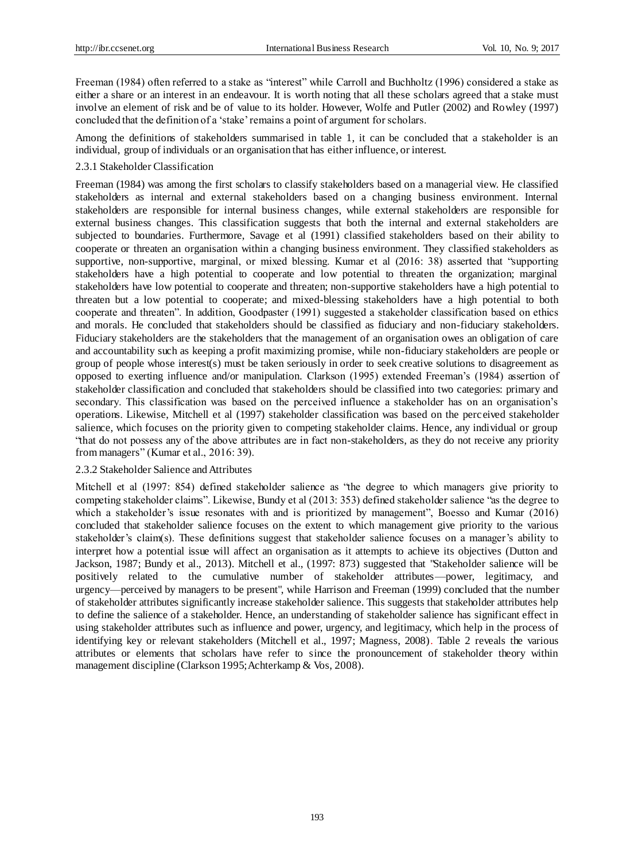Freeman (1984) often referred to a stake as "interest" while Carroll and Buchholtz (1996) considered a stake as either a share or an interest in an endeavour. It is worth noting that all these scholars agreed that a stake must involve an element of risk and be of value to its holder. However, Wolfe and Putler (2002) and Rowley (1997) concluded that the definition of a 'stake' remains a point of argument for scholars.

Among the definitions of stakeholders summarised in table 1, it can be concluded that a stakeholder is an individual, group of individuals or an organisation that has either influence, or interest.

## 2.3.1 Stakeholder Classification

Freeman (1984) was among the first scholars to classify stakeholders based on a managerial view. He classified stakeholders as internal and external stakeholders based on a changing business environment. Internal stakeholders are responsible for internal business changes, while external stakeholders are responsible for external business changes. This classification suggests that both the internal and external stakeholders are subjected to boundaries. Furthermore, Savage et al (1991) classified stakeholders based on their ability to cooperate or threaten an organisation within a changing business environment. They classified stakeholders as supportive, non-supportive, marginal, or mixed blessing. Kumar et al (2016: 38) asserted that "supporting stakeholders have a high potential to cooperate and low potential to threaten the organization; marginal stakeholders have low potential to cooperate and threaten; non-supportive stakeholders have a high potential to threaten but a low potential to cooperate; and mixed-blessing stakeholders have a high potential to both cooperate and threaten". In addition, Goodpaster (1991) suggested a stakeholder classification based on ethics and morals. He concluded that stakeholders should be classified as fiduciary and non-fiduciary stakeholders. Fiduciary stakeholders are the stakeholders that the management of an organisation owes an obligation of care and accountability such as keeping a profit maximizing promise, while non-fiduciary stakeholders are people or group of people whose interest(s) must be taken seriously in order to seek creative solutions to disagreement as opposed to exerting influence and/or manipulation. Clarkson (1995) extended Freeman's (1984) assertion of stakeholder classification and concluded that stakeholders should be classified into two categories: primary and secondary. This classification was based on the perceived influence a stakeholder has on an organisation's operations. Likewise, Mitchell et al (1997) stakeholder classification was based on the perceived stakeholder salience, which focuses on the priority given to competing stakeholder claims. Hence, any individual or group "that do not possess any of the above attributes are in fact non-stakeholders, as they do not receive any priority from managers" (Kumar et al., 2016: 39).

#### 2.3.2 Stakeholder Salience and Attributes

Mitchell et al (1997: 854) defined stakeholder salience as "the degree to which managers give priority to competing stakeholder claims". Likewise, Bundy et al (2013: 353) defined stakeholder salience "as the degree to which a stakeholder's issue resonates with and is prioritized by management", Boesso and Kumar (2016) concluded that stakeholder salience focuses on the extent to which management give priority to the various stakeholder's claim(s). These definitions suggest that stakeholder salience focuses on a manager's ability to interpret how a potential issue will affect an organisation as it attempts to achieve its objectives (Dutton and Jackson, 1987; Bundy et al., 2013). Mitchell et al., (1997: 873) suggested that "Stakeholder salience will be positively related to the cumulative number of stakeholder attributes—power, legitimacy, and urgency—perceived by managers to be present", while Harrison and Freeman (1999) concluded that the number of stakeholder attributes significantly increase stakeholder salience. This suggests that stakeholder attributes help to define the salience of a stakeholder. Hence, an understanding of stakeholder salience has significant effect in using stakeholder attributes such as influence and power, urgency, and legitimacy, which help in the process of identifying key or relevant stakeholders (Mitchell et al., 1997; Magness, 2008). Table 2 reveals the various attributes or elements that scholars have refer to since the pronouncement of stakeholder theory within management discipline (Clarkson 1995; Achterkamp & Vos, 2008).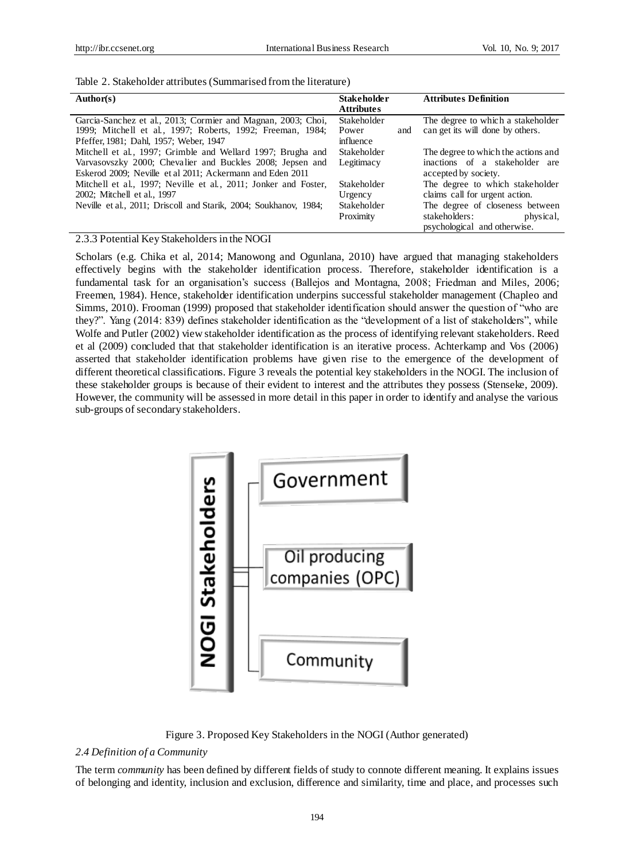Table 2. Stakeholder attributes (Summarised from the literature)

| Author(s)                                                         | <b>Stakeholder</b><br><b>Attributes</b> | <b>Attributes Definition</b>        |
|-------------------------------------------------------------------|-----------------------------------------|-------------------------------------|
| Garcia-Sanchez et al., 2013; Cormier and Magnan, 2003; Choi,      | Stakeholder                             | The degree to which a stakeholder   |
| 1999; Mitchell et al., 1997; Roberts, 1992; Freeman, 1984;        | Power<br>and                            | can get its will done by others.    |
| Pfeffer, 1981; Dahl, 1957; Weber, 1947                            | influence                               |                                     |
| Mitchell et al., 1997; Grimble and Wellard 1997; Brugha and       | Stakeholder                             | The degree to which the actions and |
| Varvasovszky 2000; Chevalier and Buckles 2008; Jepsen and         | Legitimacy                              | inactions of a stakeholder are      |
| Eskerod 2009; Neville et al 2011; Ackermann and Eden 2011         |                                         | accepted by society.                |
| Mitchell et al., 1997; Neville et al., 2011; Jonker and Foster,   | Stakeholder                             | The degree to which stakeholder     |
| 2002; Mitchell et al., 1997                                       | Urgency                                 | claims call for urgent action.      |
| Neville et al., 2011; Driscoll and Starik, 2004; Soukhanov, 1984; | Stakeholder                             | The degree of closeness between     |
|                                                                   | Proximity                               | stakeholders:<br>physical.          |
|                                                                   |                                         | psychological and otherwise.        |

# 2.3.3 Potential Key Stakeholders in the NOGI

Scholars (e.g. Chika et al, 2014; Manowong and Ogunlana, 2010) have argued that managing stakeholders effectively begins with the stakeholder identification process. Therefore, stakeholder identification is a fundamental task for an organisation's success (Ballejos and Montagna, 2008; Friedman and Miles, 2006; Freemen, 1984). Hence, stakeholder identification underpins successful stakeholder management (Chapleo and Simms, 2010). Frooman (1999) proposed that stakeholder identification should answer the question of "who are they?". Yang (2014: 839) defines stakeholder identification as the "development of a list of stakeholders", while Wolfe and Putler (2002) view stakeholder identification as the process of identifying relevant stakeholders. Reed et al (2009) concluded that that stakeholder identification is an iterative process. Achterkamp and Vos (2006) asserted that stakeholder identification problems have given rise to the emergence of the development of different theoretical classifications. Figure 3 reveals the potential key stakeholders in the NOGI. The inclusion of these stakeholder groups is because of their evident to interest and the attributes they possess (Stenseke, 2009). However, the community will be assessed in more detail in this paper in order to identify and analyse the various sub-groups of secondary stakeholders.



Figure 3. Proposed Key Stakeholders in the NOGI (Author generated)

## *2.4 Definition of a Community*

The term *community* has been defined by different fields of study to connote different meaning. It explains issues of belonging and identity, inclusion and exclusion, difference and similarity, time and place, and processes such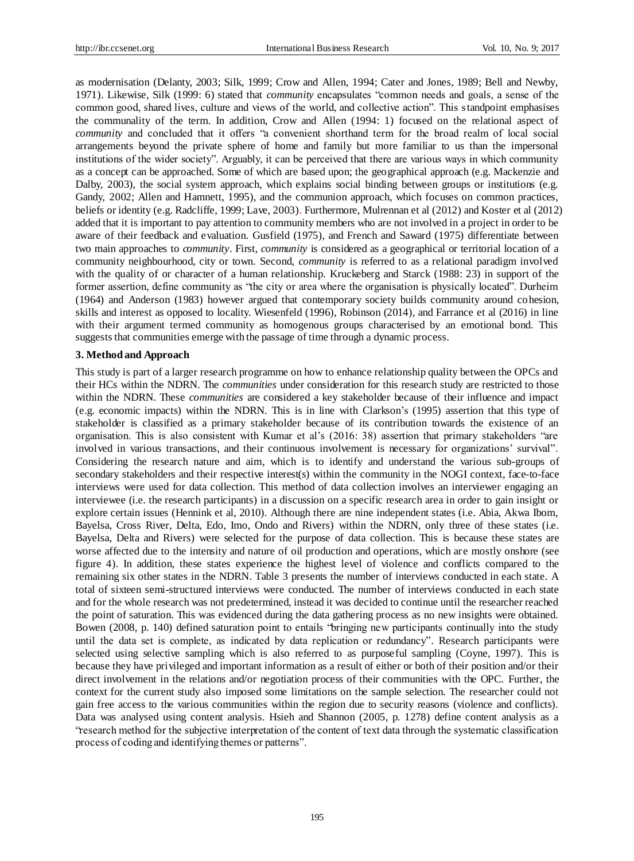as modernisation (Delanty, 2003; Silk, 1999; Crow and Allen, 1994; Cater and Jones, 1989; Bell and Newby, 1971). Likewise, Silk (1999: 6) stated that *community* encapsulates "common needs and goals, a sense of the common good, shared lives, culture and views of the world, and collective action". This standpoint emphasises the communality of the term. In addition, Crow and Allen (1994: 1) focused on the relational aspect of *community* and concluded that it offers "a convenient shorthand term for the broad realm of local social arrangements beyond the private sphere of home and family but more familiar to us than the impersonal institutions of the wider society". Arguably, it can be perceived that there are various ways in which community as a concept can be approached. Some of which are based upon; the geographical approach (e.g. Mackenzie and Dalby, 2003), the social system approach, which explains social binding between groups or institutions (e.g. Gandy, 2002; Allen and Hamnett, 1995), and the communion approach, which focuses on common practices, beliefs or identity (e.g. Radcliffe, 1999; Lave, 2003). Furthermore, Mulrennan et al (2012) and Koster et al (2012) added that it is important to pay attention to community members who are not involved in a project in order to be aware of their feedback and evaluation. Gusfield (1975), and French and Saward (1975) differentiate between two main approaches to *community*. First, *community* is considered as a geographical or territorial location of a community neighbourhood, city or town. Second, *community* is referred to as a relational paradigm involved with the quality of or character of a human relationship. Kruckeberg and Starck (1988: 23) in support of the former assertion, define community as "the city or area where the organisation is physically located". Durheim (1964) and Anderson (1983) however argued that contemporary society builds community around cohesion, skills and interest as opposed to locality. Wiesenfeld (1996), Robinson (2014), and Farrance et al (2016) in line with their argument termed community as homogenous groups characterised by an emotional bond. This suggests that communities emerge with the passage of time through a dynamic process.

#### **3. Method and Approach**

This study is part of a larger research programme on how to enhance relationship quality between the OPCs and their HCs within the NDRN. The *communities* under consideration for this research study are restricted to those within the NDRN. These *communities* are considered a key stakeholder because of their influence and impact (e.g. economic impacts) within the NDRN. This is in line with Clarkson's (1995) assertion that this type of stakeholder is classified as a primary stakeholder because of its contribution towards the existence of an organisation. This is also consistent with Kumar et al's (2016: 38) assertion that primary stakeholders "are involved in various transactions, and their continuous involvement is necessary for organizations' survival". Considering the research nature and aim, which is to identify and understand the various sub-groups of secondary stakeholders and their respective interest(s) within the community in the NOGI context, face-to-face interviews were used for data collection. This method of data collection involves an interviewer engaging an interviewee (i.e. the research participants) in a discussion on a specific research area in order to gain insight or explore certain issues (Hennink et al, 2010). Although there are nine independent states (i.e. Abia, Akwa Ibom, Bayelsa, Cross River, Delta, Edo, Imo, Ondo and Rivers) within the NDRN, only three of these states (i.e. Bayelsa, Delta and Rivers) were selected for the purpose of data collection. This is because these states are worse affected due to the intensity and nature of oil production and operations, which are mostly onshore (see figure 4). In addition, these states experience the highest level of violence and conflicts compared to the remaining six other states in the NDRN. Table 3 presents the number of interviews conducted in each state. A total of sixteen semi-structured interviews were conducted. The number of interviews conducted in each state and for the whole research was not predetermined, instead it was decided to continue until the researcher reached the point of saturation. This was evidenced during the data gathering process as no new insights were obtained. Bowen (2008, p. 140) defined saturation point to entails "bringing new participants continually into the study until the data set is complete, as indicated by data replication or redundancy". Research participants were selected using selective sampling which is also referred to as purposeful sampling (Coyne, 1997). This is because they have privileged and important information as a result of either or both of their position and/or their direct involvement in the relations and/or negotiation process of their communities with the OPC. Further, the context for the current study also imposed some limitations on the sample selection. The researcher could not gain free access to the various communities within the region due to security reasons (violence and conflicts). Data was analysed using content analysis. Hsieh and Shannon (2005, p. 1278) define content analysis as a "research method for the subjective interpretation of the content of text data through the systematic classification process of coding and identifying themes or patterns".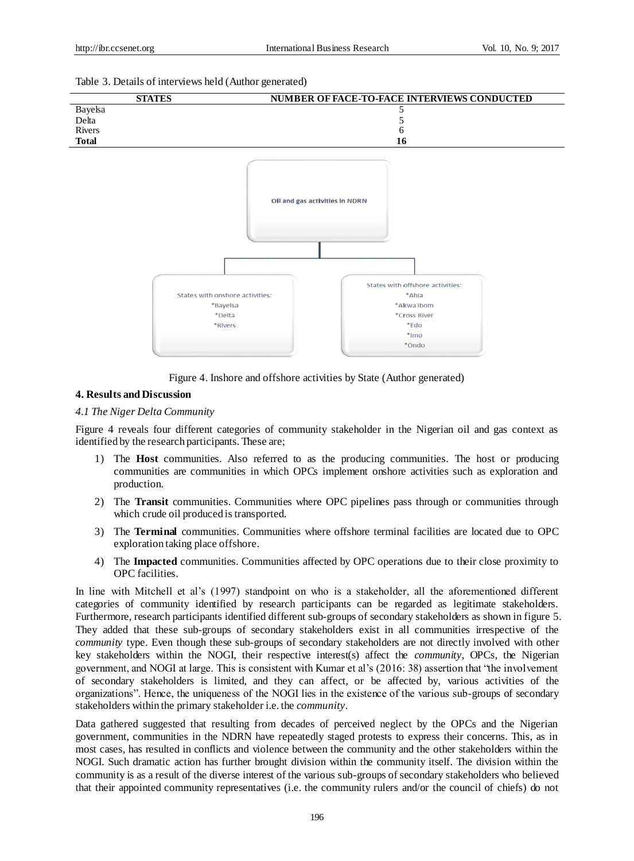

Table 3. Details of interviews held (Author generated)



# **4. Results and Discussion**

#### *4.1 The Niger Delta Community*

Figure 4 reveals four different categories of community stakeholder in the Nigerian oil and gas context as identified by the research participants. These are;

- 1) The **Host** communities. Also referred to as the producing communities. The host or producing communities are communities in which OPCs implement onshore activities such as exploration and production.
- 2) The **Transit** communities. Communities where OPC pipelines pass through or communities through which crude oil produced is transported.
- 3) The **Terminal** communities. Communities where offshore terminal facilities are located due to OPC exploration taking place offshore.
- 4) The **Impacted** communities. Communities affected by OPC operations due to their close proximity to OPC facilities.

In line with Mitchell et al's (1997) standpoint on who is a stakeholder, all the aforementioned different categories of community identified by research participants can be regarded as legitimate stakeholders. Furthermore, research participants identified different sub-groups of secondary stakeholders as shown in figure 5. They added that these sub-groups of secondary stakeholders exist in all communities irrespective of the *community* type. Even though these sub-groups of secondary stakeholders are not directly involved with other key stakeholders within the NOGI, their respective interest(s) affect the *community*, OPCs, the Nigerian government, and NOGI at large. This is consistent with Kumar et al's (2016: 38) assertion that "the involvement of secondary stakeholders is limited, and they can affect, or be affected by, various activities of the organizations". Hence, the uniqueness of the NOGI lies in the existence of the various sub-groups of secondary stakeholders within the primary stakeholder i.e. the *community*.

Data gathered suggested that resulting from decades of perceived neglect by the OPCs and the Nigerian government, communities in the NDRN have repeatedly staged protests to express their concerns. This, as in most cases, has resulted in conflicts and violence between the community and the other stakeholders within the NOGI. Such dramatic action has further brought division within the community itself. The division within the community is as a result of the diverse interest of the various sub-groups of secondary stakeholders who believed that their appointed community representatives (i.e. the community rulers and/or the council of chiefs) do not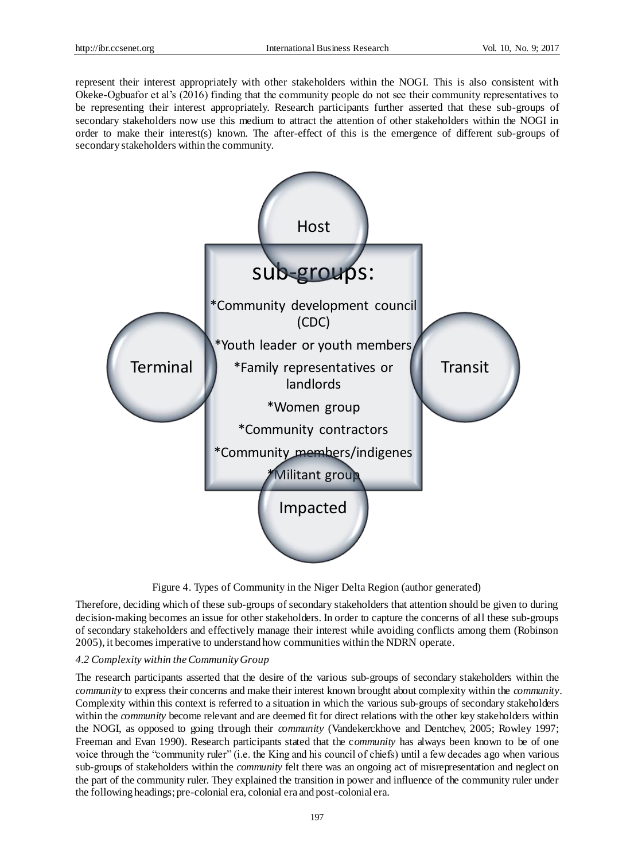represent their interest appropriately with other stakeholders within the NOGI. This is also consistent with Okeke-Ogbuafor et al's (2016) finding that the community people do not see their community representatives to be representing their interest appropriately. Research participants further asserted that these sub-groups of secondary stakeholders now use this medium to attract the attention of other stakeholders within the NOGI in order to make their interest(s) known. The after-effect of this is the emergence of different sub-groups of secondary stakeholders within the community.



Figure 4. Types of Community in the Niger Delta Region (author generated)

Therefore, deciding which of these sub-groups of secondary stakeholders that attention should be given to during decision-making becomes an issue for other stakeholders. In order to capture the concerns of all these sub-groups of secondary stakeholders and effectively manage their interest while avoiding conflicts among them (Robinson 2005), it becomes imperative to understand how communities within the NDRN operate.

# *4.2 Complexity within the Community Group*

The research participants asserted that the desire of the various sub-groups of secondary stakeholders within the *community* to express their concerns and make their interest known brought about complexity within the *community*. Complexity within this context is referred to a situation in which the various sub-groups of secondary stakeholders within the *community* become relevant and are deemed fit for direct relations with the other key stakeholders within the NOGI, as opposed to going through their *community* (Vandekerckhove and Dentchev, 2005; Rowley 1997; Freeman and Evan 1990). Research participants stated that the c*ommunity* has always been known to be of one voice through the "community ruler" (i.e. the King and his council of chiefs) until a few decades ago when various sub-groups of stakeholders within the *community* felt there was an ongoing act of misrepresentation and neglect on the part of the community ruler. They explained the transition in power and influence of the community ruler under the following headings; pre-colonial era, colonial era and post-colonial era.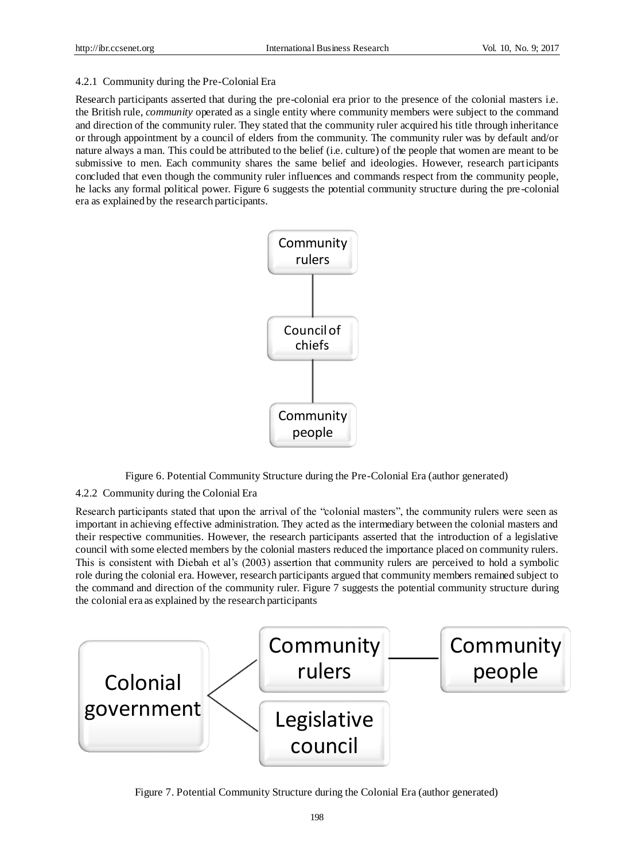# 4.2.1 Community during the Pre-Colonial Era

Research participants asserted that during the pre-colonial era prior to the presence of the colonial masters i.e. the British rule, *community* operated as a single entity where community members were subject to the command and direction of the community ruler. They stated that the community ruler acquired his title through inheritance or through appointment by a council of elders from the community. The community ruler was by default and/or nature always a man. This could be attributed to the belief (i.e. culture) of the people that women are meant to be submissive to men. Each community shares the same belief and ideologies. However, research participants concluded that even though the community ruler influences and commands respect from the community people, he lacks any formal political power. Figure 6 suggests the potential community structure during the pre -colonial era as explained by the research participants.



Figure 6. Potential Community Structure during the Pre-Colonial Era (author generated)

# 4.2.2 Community during the Colonial Era

Research participants stated that upon the arrival of the "colonial masters", the community rulers were seen as important in achieving effective administration. They acted as the intermediary between the colonial masters and their respective communities. However, the research participants asserted that the introduction of a legislative council with some elected members by the colonial masters reduced the importance placed on community rulers. This is consistent with Diebah et al's (2003) assertion that community rulers are perceived to hold a symbolic role during the colonial era. However, research participants argued that community members remained subject to the command and direction of the community ruler. Figure 7 suggests the potential community structure during the colonial era as explained by the research participants



Figure 7. Potential Community Structure during the Colonial Era (author generated)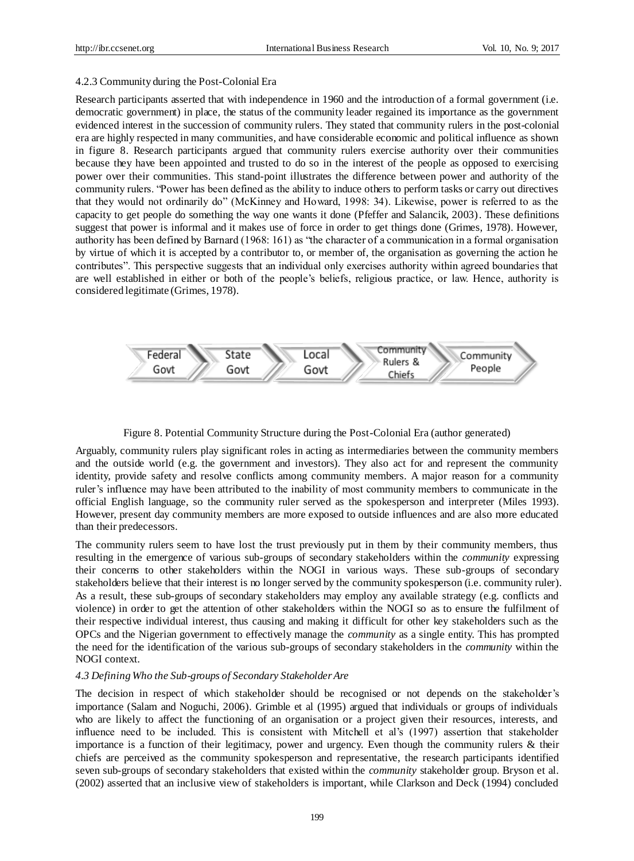#### 4.2.3 Community during the Post-Colonial Era

Research participants asserted that with independence in 1960 and the introduction of a formal government (i.e. democratic government) in place, the status of the community leader regained its importance as the government evidenced interest in the succession of community rulers. They stated that community rulers in the post-colonial era are highly respected in many communities, and have considerable economic and political influence as shown in figure 8. Research participants argued that community rulers exercise authority over their communities because they have been appointed and trusted to do so in the interest of the people as opposed to exercising power over their communities. This stand-point illustrates the difference between power and authority of the community rulers. "Power has been defined as the ability to induce others to perform tasks or carry out directives that they would not ordinarily do" (McKinney and Howard, 1998: 34). Likewise, power is referred to as the capacity to get people do something the way one wants it done (Pfeffer and Salancik, 2003). These definitions suggest that power is informal and it makes use of force in order to get things done (Grimes, 1978). However, authority has been defined by Barnard (1968: 161) as "the character of a communication in a formal organisation by virtue of which it is accepted by a contributor to, or member of, the organisation as governing the action he contributes". This perspective suggests that an individual only exercises authority within agreed boundaries that are well established in either or both of the people's beliefs, religious practice, or law. Hence, authority is considered legitimate (Grimes, 1978).



#### Figure 8. Potential Community Structure during the Post-Colonial Era (author generated)

Arguably, community rulers play significant roles in acting as intermediaries between the community members and the outside world (e.g. the government and investors). They also act for and represent the community identity, provide safety and resolve conflicts among community members. A major reason for a community ruler's influence may have been attributed to the inability of most community members to communicate in the official English language, so the community ruler served as the spokesperson and interpreter (Miles 1993). However, present day community members are more exposed to outside influences and are also more educated than their predecessors.

The community rulers seem to have lost the trust previously put in them by their community members, thus resulting in the emergence of various sub-groups of secondary stakeholders within the *community* expressing their concerns to other stakeholders within the NOGI in various ways. These sub-groups of secondary stakeholders believe that their interest is no longer served by the community spokesperson (i.e. community ruler). As a result, these sub-groups of secondary stakeholders may employ any available strategy (e.g. conflicts and violence) in order to get the attention of other stakeholders within the NOGI so as to ensure the fulfilment of their respective individual interest, thus causing and making it difficult for other key stakeholders such as the OPCs and the Nigerian government to effectively manage the *community* as a single entity. This has prompted the need for the identification of the various sub-groups of secondary stakeholders in the *community* within the NOGI context.

#### *4.3 Defining Who the Sub-groups of Secondary Stakeholder Are*

The decision in respect of which stakeholder should be recognised or not depends on the stakeholder's importance (Salam and Noguchi, 2006). Grimble et al (1995) argued that individuals or groups of individuals who are likely to affect the functioning of an organisation or a project given their resources, interests, and influence need to be included. This is consistent with Mitchell et al's (1997) assertion that stakeholder importance is a function of their legitimacy, power and urgency. Even though the community rulers & their chiefs are perceived as the community spokesperson and representative, the research participants identified seven sub-groups of secondary stakeholders that existed within the *community* stakeholder group. Bryson et al. (2002) asserted that an inclusive view of stakeholders is important, while Clarkson and Deck (1994) concluded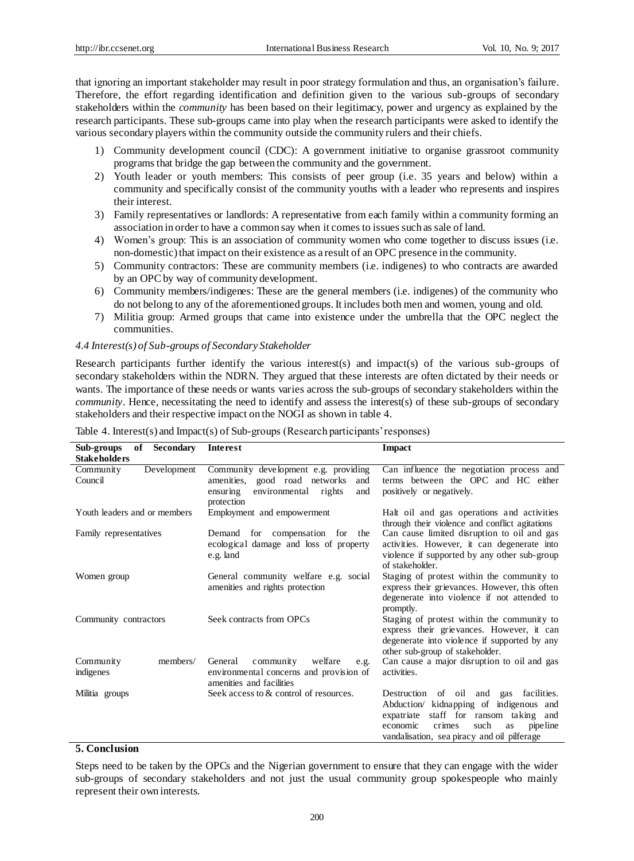that ignoring an important stakeholder may result in poor strategy formulation and thus, an organisation's failure. Therefore, the effort regarding identification and definition given to the various sub-groups of secondary stakeholders within the *community* has been based on their legitimacy, power and urgency as explained by the research participants. These sub-groups came into play when the research participants were asked to identify the various secondary players within the community outside the community rulers and their chiefs.

- 1) Community development council (CDC): A government initiative to organise grassroot community programs that bridge the gap between the community and the government.
- 2) Youth leader or youth members: This consists of peer group (i.e. 35 years and below) within a community and specifically consist of the community youths with a leader who represents and inspires their interest.
- 3) Family representatives or landlords: A representative from each family within a community forming an association in order to have a common say when it comes to issues such as sale of land.
- 4) Women's group: This is an association of community women who come together to discuss issues (i.e. non-domestic) that impact on their existence as a result of an OPC presence in the community.
- 5) Community contractors: These are community members (i.e. indigenes) to who contracts are awarded by an OPC by way of community development.
- 6) Community members/indigenes: These are the general members (i.e. indigenes) of the community who do not belong to any of the aforementioned groups. It includes both men and women, young and old.
- 7) Militia group: Armed groups that came into existence under the umbrella that the OPC neglect the communities.

## *4.4 Interest(s) of Sub-groups of Secondary Stakeholder*

Research participants further identify the various interest(s) and impact(s) of the various sub-groups of secondary stakeholders within the NDRN. They argued that these interests are often dictated by their needs or wants. The importance of these needs or wants varies across the sub-groups of secondary stakeholders within the *community*. Hence, necessitating the need to identify and assess the interest(s) of these sub-groups of secondary stakeholders and their respective impact on the NOGI as shown in table 4.

| of<br><b>Secondary</b><br>Sub-groups | Interest                                                                                                                                    | <b>Impact</b>                                                                                                                                                                                                                        |
|--------------------------------------|---------------------------------------------------------------------------------------------------------------------------------------------|--------------------------------------------------------------------------------------------------------------------------------------------------------------------------------------------------------------------------------------|
| <b>Stakeholders</b>                  |                                                                                                                                             |                                                                                                                                                                                                                                      |
| Community<br>Development<br>Council  | Community development e.g. providing<br>amenities.<br>good road networks<br>and<br>rights<br>ensuring<br>environmental<br>and<br>protection | Can influence the negotiation process and<br>terms between the OPC and HC either<br>positively or negatively.                                                                                                                        |
| Youth leaders and or members         | Employment and empowerment                                                                                                                  | Halt oil and gas operations and activities<br>through their violence and conflict agitations                                                                                                                                         |
| Family representatives               | compensation for<br>Demand<br>for<br>the<br>ecological damage and loss of property<br>e.g. land                                             | Can cause limited disruption to oil and gas<br>activities. However, it can degenerate into<br>violence if supported by any other sub-group<br>of stakeholder.                                                                        |
| Women group                          | General community welfare e.g. social<br>amenities and rights protection                                                                    | Staging of protest within the community to<br>express their grievances. However, this often<br>degenerate into violence if not attended to<br>promptly.                                                                              |
| Community contractors                | Seek contracts from OPCs                                                                                                                    | Staging of protest within the community to<br>express their grievances. However, it can<br>degenerate into violence if supported by any<br>other sub-group of stakeholder.                                                           |
| Community<br>members/<br>indigenes   | welfare<br>General<br>community<br>e.g.<br>environmental concerns and provision of<br>amenities and facilities                              | Can cause a major disruption to oil and gas<br>activities.                                                                                                                                                                           |
| Militia groups                       | Seek access to & control of resources.                                                                                                      | Destruction of oil<br>and gas<br>facilities.<br>Abduction/ kidnapping of indigenous and<br>staff for ransom taking and<br>expatriate<br>such<br>economic<br>crimes<br>pipe line<br>as<br>vandalisation, sea piracy and oil pilferage |

Table 4. Interest(s) and Impact(s) of Sub-groups (Research participants' responses)

## **5. Conclusion**

Steps need to be taken by the OPCs and the Nigerian government to ensure that they can engage with the wider sub-groups of secondary stakeholders and not just the usual community group spokespeople who mainly represent their own interests.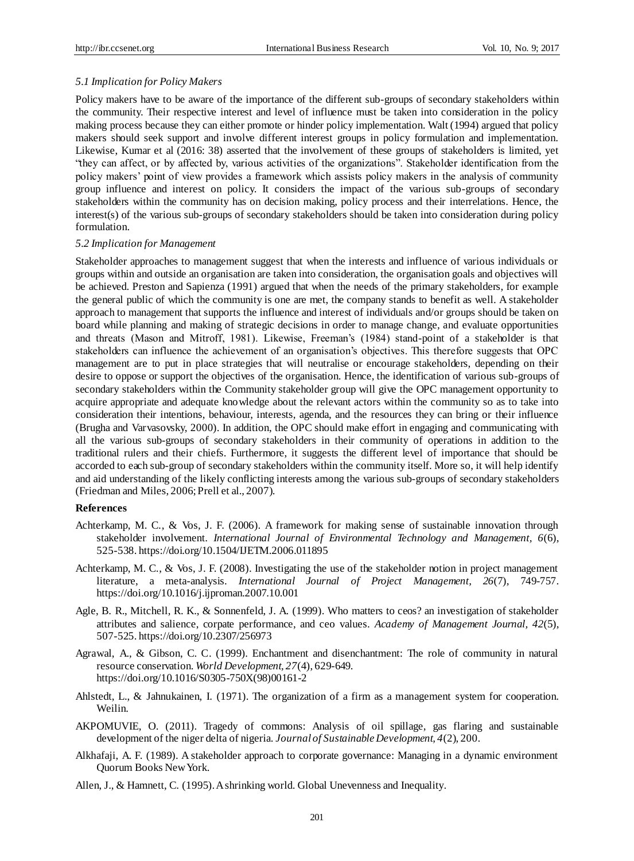## *5.1 Implication for Policy Makers*

Policy makers have to be aware of the importance of the different sub-groups of secondary stakeholders within the community. Their respective interest and level of influence must be taken into consideration in the policy making process because they can either promote or hinder policy implementation. Walt (1994) argued that policy makers should seek support and involve different interest groups in policy formulation and implementation. Likewise, Kumar et al (2016: 38) asserted that the involvement of these groups of stakeholders is limited, yet "they can affect, or by affected by, various activities of the organizations". Stakeholder identification from the policy makers' point of view provides a framework which assists policy makers in the analysis of community group influence and interest on policy. It considers the impact of the various sub-groups of secondary stakeholders within the community has on decision making, policy process and their interrelations. Hence, the interest(s) of the various sub-groups of secondary stakeholders should be taken into consideration during policy formulation.

#### *5.2 Implication for Management*

Stakeholder approaches to management suggest that when the interests and influence of various individuals or groups within and outside an organisation are taken into consideration, the organisation goals and objectives will be achieved. Preston and Sapienza (1991) argued that when the needs of the primary stakeholders, for example the general public of which the community is one are met, the company stands to benefit as well. A stakeholder approach to management that supports the influence and interest of individuals and/or groups should be taken on board while planning and making of strategic decisions in order to manage change, and evaluate opportunities and threats (Mason and Mitroff, 1981). Likewise, Freeman's (1984) stand-point of a stakeholder is that stakeholders can influence the achievement of an organisation's objectives. This therefore suggests that OPC management are to put in place strategies that will neutralise or encourage stakeholders, depending on their desire to oppose or support the objectives of the organisation. Hence, the identification of various sub-groups of secondary stakeholders within the Community stakeholder group will give the OPC management opportunity to acquire appropriate and adequate knowledge about the relevant actors within the community so as to take into consideration their intentions, behaviour, interests, agenda, and the resources they can bring or their influence [\(Brugha and Varvasovsky, 2000\)](http://www.sciencedirect.com/science/article/pii/S0301479709000024#bib16). In addition, the OPC should make effort in engaging and communicating with all the various sub-groups of secondary stakeholders in their community of operations in addition to the traditional rulers and their chiefs. Furthermore, it suggests the different level of importance that should be accorded to each sub-group of secondary stakeholders within the community itself. More so, it will help identify and aid understanding of the likely conflicting interests among the various sub-groups of secondary stakeholders [\(Friedman and Miles, 2006;](http://www.sciencedirect.com/science/article/pii/S0301479709000024#bib45) Prell et [al., 2007\)](http://www.sciencedirect.com/science/article/pii/S0301479709000024#bib80).

#### **References**

- Achterkamp, M. C., & Vos, J. F. (2006). A framework for making sense of sustainable innovation through stakeholder involvement. *International Journal of Environmental Technology and Management, 6*(6), 525-538. https://doi.org/10.1504/IJETM.2006.011895
- Achterkamp, M. C., & Vos, J. F. (2008). Investigating the use of the stakeholder notion in project management literature, a meta-analysis. *International Journal of Project Management, 26*(7), 749-757. https://doi.org/10.1016/j.ijproman.2007.10.001
- Agle, B. R., Mitchell, R. K., & Sonnenfeld, J. A. (1999). Who matters to ceos? an investigation of stakeholder attributes and salience, corpate performance, and ceo values. *Academy of Management Journal, 42*(5), 507-525. https://doi.org/10.2307/256973
- Agrawal, A., & Gibson, C. C. (1999). Enchantment and disenchantment: The role of community in natural resource conservation. *World Development, 27*(4), 629-649. https://doi.org/10.1016/S0305-750X(98)00161-2
- Ahlstedt, L., & Jahnukainen, I. (1971). The organization of a firm as a management system for cooperation. Weilin.
- AKPOMUVIE, O. (2011). Tragedy of commons: Analysis of oil spillage, gas flaring and sustainable development of the niger delta of nigeria. *Journal of Sustainable Development, 4*(2), 200.
- Alkhafaji, A. F. (1989). A stakeholder approach to corporate governance: Managing in a dynamic environment Quorum Books New York.
- Allen, J., & Hamnett, C. (1995). A shrinking world. Global Unevenness and Inequality.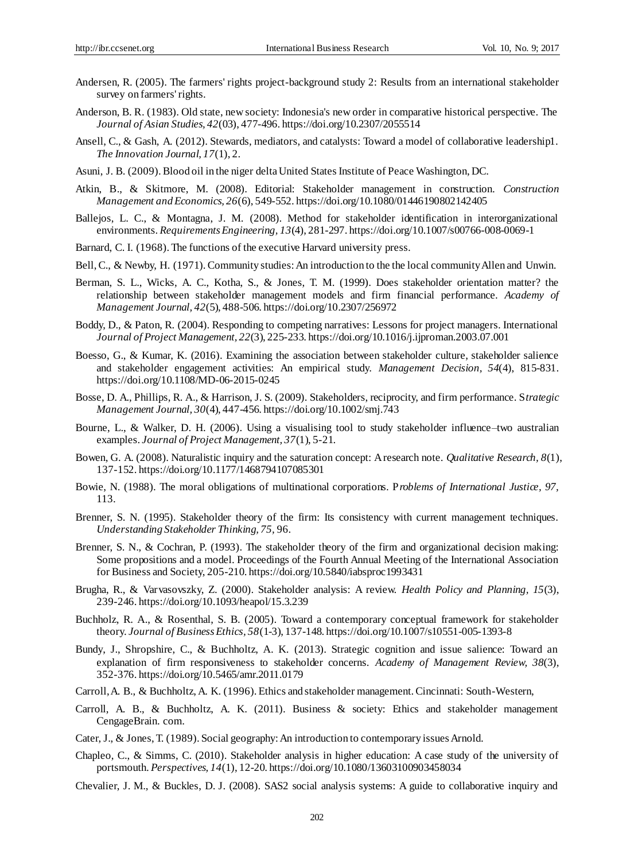- Andersen, R. (2005). The farmers' rights project-background study 2: Results from an international stakeholder survey on farmers' rights.
- Anderson, B. R. (1983). Old state, new society: Indonesia's new order in comparative historical perspective. The *Journal of Asian Studies, 42*(03), 477-496. https://doi.org/10.2307/2055514
- Ansell, C., & Gash, A. (2012). Stewards, mediators, and catalysts: Toward a model of collaborative leadership1. *The Innovation Journal, 17*(1), 2.
- Asuni, J. B. (2009). Blood oil in the niger delta United States Institute of Peace Washington, DC.
- Atkin, B., & Skitmore, M. (2008). Editorial: Stakeholder management in construction. *Construction Management and Economics, 26*(6), 549-552. https://doi.org/10.1080/01446190802142405
- Ballejos, L. C., & Montagna, J. M. (2008). Method for stakeholder identification in interorganizational environments. *Requirements Engineering, 13*(4), 281-297. https://doi.org/10.1007/s00766-008-0069-1
- Barnard, C. I. (1968). The functions of the executive Harvard university press.
- Bell, C., & Newby, H. (1971). Community studies: An introduction to the the local community Allen and Unwin.
- Berman, S. L., Wicks, A. C., Kotha, S., & Jones, T. M. (1999). Does stakeholder orientation matter? the relationship between stakeholder management models and firm financial performance. *Academy of Management Journal, 42*(5), 488-506. https://doi.org/10.2307/256972
- Boddy, D., & Paton, R. (2004). Responding to competing narratives: Lessons for project managers. International *Journal of Project Management, 22*(3), 225-233. https://doi.org/10.1016/j.ijproman.2003.07.001
- Boesso, G., & Kumar, K. (2016). Examining the association between stakeholder culture, stakeholder salience and stakeholder engagement activities: An empirical study. *Management Decision, 54*(4), 815-831. https://doi.org/10.1108/MD-06-2015-0245
- Bosse, D. A., Phillips, R. A., & Harrison, J. S. (2009). Stakeholders, reciprocity, and firm performance. S*trategic Management Journal, 30*(4), 447-456. https://doi.org/10.1002/smj.743
- Bourne, L., & Walker, D. H. (2006). Using a visualising tool to study stakeholder influence–two australian examples. *Journal of Project Management, 37*(1), 5-21.
- Bowen, G. A. (2008). Naturalistic inquiry and the saturation concept: A research note. *Qualitative Research, 8*(1), 137-152. https://doi.org/10.1177/1468794107085301
- Bowie, N. (1988). The moral obligations of multinational corporations. P*roblems of International Justice, 97,*  113.
- Brenner, S. N. (1995). Stakeholder theory of the firm: Its consistency with current management techniques. *Understanding Stakeholder Thinking, 75,* 96.
- Brenner, S. N., & Cochran, P. (1993). The stakeholder theory of the firm and organizational decision making: Some propositions and a model. Proceedings of the Fourth Annual Meeting of the International Association for Business and Society, 205-210. https://doi.org/10.5840/iabsproc1993431
- Brugha, R., & Varvasovszky, Z. (2000). Stakeholder analysis: A review. *Health Policy and Planning, 15*(3), 239-246. https://doi.org/10.1093/heapol/15.3.239
- Buchholz, R. A., & Rosenthal, S. B. (2005). Toward a contemporary conceptual framework for stakeholder theory. *Journal of Business Ethics, 58*(1-3), 137-148. https://doi.org/10.1007/s10551-005-1393-8
- Bundy, J., Shropshire, C., & Buchholtz, A. K. (2013). Strategic cognition and issue salience: Toward an explanation of firm responsiveness to stakeholder concerns. *Academy of Management Review, 38*(3), 352-376. https://doi.org/10.5465/amr.2011.0179
- Carroll, A. B., & Buchholtz, A. K. (1996). Ethics and stakeholder management. Cincinnati: South-Western,
- Carroll, A. B., & Buchholtz, A. K. (2011). Business & society: Ethics and stakeholder management CengageBrain. com.
- Cater, J., & Jones, T. (1989). Social geography: An introduction to contemporary issues Arnold.
- Chapleo, C., & Simms, C. (2010). Stakeholder analysis in higher education: A case study of the university of portsmouth. *Perspectives, 14*(1), 12-20. https://doi.org/10.1080/13603100903458034
- Chevalier, J. M., & Buckles, D. J. (2008). SAS2 social analysis systems: A guide to collaborative inquiry and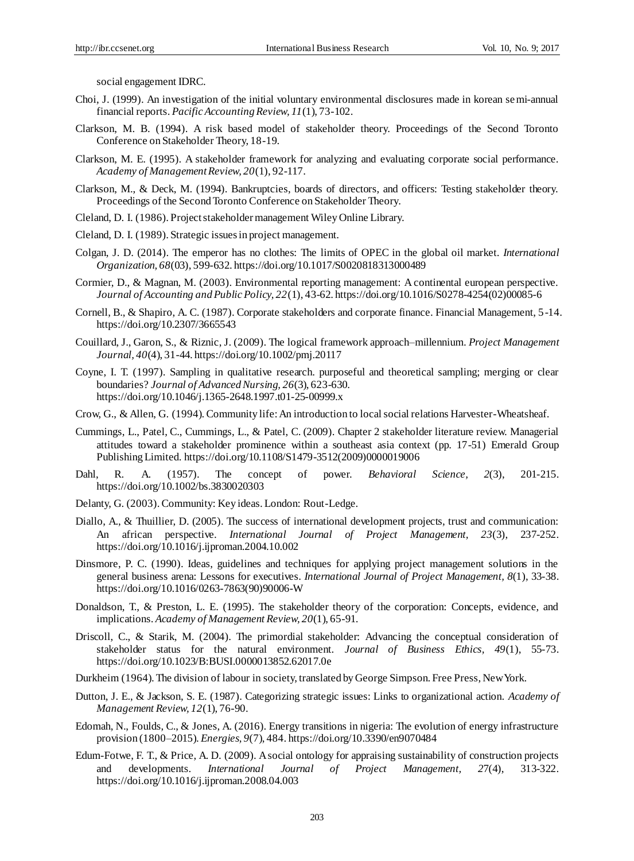social engagement IDRC.

- Choi, J. (1999). An investigation of the initial voluntary environmental disclosures made in korean semi-annual financial reports. *Pacific Accounting Review, 11*(1), 73-102.
- Clarkson, M. B. (1994). A risk based model of stakeholder theory. Proceedings of the Second Toronto Conference on Stakeholder Theory, 18-19.
- Clarkson, M. E. (1995). A stakeholder framework for analyzing and evaluating corporate social performance. *Academy of Management Review, 20*(1), 92-117.
- Clarkson, M., & Deck, M. (1994). Bankruptcies, boards of directors, and officers: Testing stakeholder theory. Proceedings of the Second Toronto Conference on Stakeholder Theory.
- Cleland, D. I. (1986). Project stakeholder management Wiley Online Library.
- Cleland, D. I. (1989). Strategic issues in project management.
- Colgan, J. D. (2014). The emperor has no clothes: The limits of OPEC in the global oil market. *International Organization, 68*(03), 599-632. https://doi.org/10.1017/S0020818313000489
- Cormier, D., & Magnan, M. (2003). Environmental reporting management: A continental european perspective. *Journal of Accounting and Public Policy, 22*(1), 43-62. https://doi.org/10.1016/S0278-4254(02)00085-6
- Cornell, B., & Shapiro, A. C. (1987). Corporate stakeholders and corporate finance. Financial Management, 5-14. https://doi.org/10.2307/3665543
- Couillard, J., Garon, S., & Riznic, J. (2009). The logical framework approach–millennium. *Project Management Journal, 40*(4), 31-44. https://doi.org/10.1002/pmj.20117
- Coyne, I. T. (1997). Sampling in qualitative research. purposeful and theoretical sampling; merging or clear boundaries? *Journal of Advanced Nursing, 26*(3), 623-630. https://doi.org/10.1046/j.1365-2648.1997.t01-25-00999.x
- Crow, G., & Allen, G. (1994). Community life: An introduction to local social relations Harvester-Wheatsheaf.
- Cummings, L., Patel, C., Cummings, L., & Patel, C. (2009). Chapter 2 stakeholder literature review. Managerial attitudes toward a stakeholder prominence within a southeast asia context (pp. 17-51) Emerald Group Publishing Limited. https://doi.org/10.1108/S1479-3512(2009)0000019006
- Dahl, R. A. (1957). The concept of power. *Behavioral Science, 2*(3), 201-215. https://doi.org/10.1002/bs.3830020303
- Delanty, G. (2003). Community: Key ideas. London: Rout-Ledge.
- Diallo, A., & Thuillier, D. (2005). The success of international development projects, trust and communication: An african perspective. *International Journal of Project Management, 23*(3), 237-252. https://doi.org/10.1016/j.ijproman.2004.10.002
- Dinsmore, P. C. (1990). Ideas, guidelines and techniques for applying project management solutions in the general business arena: Lessons for executives. *International Journal of Project Management, 8*(1), 33-38. https://doi.org/10.1016/0263-7863(90)90006-W
- Donaldson, T., & Preston, L. E. (1995). The stakeholder theory of the corporation: Concepts, evidence, and implications. *Academy of Management Review, 20*(1), 65-91.
- Driscoll, C., & Starik, M. (2004). The primordial stakeholder: Advancing the conceptual consideration of stakeholder status for the natural environment. *Journal of Business Ethics, 49*(1), 55-73. https://doi.org/10.1023/B:BUSI.0000013852.62017.0e
- Durkheim (1964). The division of labour in society, translated by George Simpson. Free Press, New York.
- Dutton, J. E., & Jackson, S. E. (1987). Categorizing strategic issues: Links to organizational action. *Academy of Management Review, 12*(1), 76-90.
- Edomah, N., Foulds, C., & Jones, A. (2016). Energy transitions in nigeria: The evolution of energy infrastructure provision (1800–2015). *Energies, 9*(7), 484. https://doi.org/10.3390/en9070484
- Edum-Fotwe, F. T., & Price, A. D. (2009). A social ontology for appraising sustainability of construction projects and developments. *International Journal of Project Management, 2*7(4), 313-322. https://doi.org/10.1016/j.ijproman.2008.04.003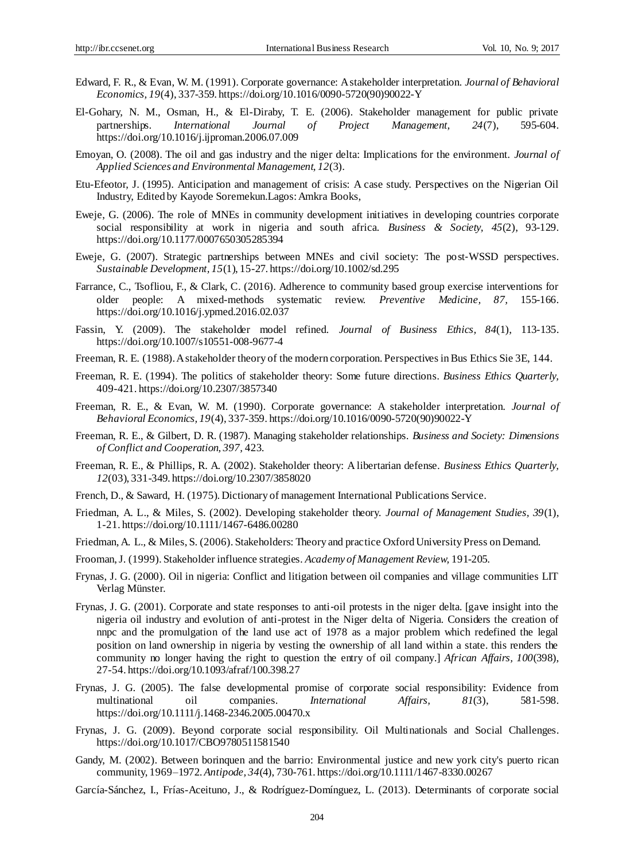- Edward, F. R., & Evan, W. M. (1991). Corporate governance: A stakeholder interpretation. *Journal of Behavioral Economics, 19*(4), 337-359. https://doi.org/10.1016/0090-5720(90)90022-Y
- El-Gohary, N. M., Osman, H., & El-Diraby, T. E. (2006). Stakeholder management for public private partnerships. *International Journal of Project Management, 24*(7), 595-604. https://doi.org/10.1016/j.ijproman.2006.07.009
- Emoyan, O. (2008). The oil and gas industry and the niger delta: Implications for the environment. *Journal of Applied Sciences and Environmental Management, 12*(3).
- Etu-Efeotor, J. (1995). Anticipation and management of crisis: A case study. Perspectives on the Nigerian Oil Industry, Edited by Kayode Soremekun.Lagos: Amkra Books,
- Eweje, G. (2006). The role of MNEs in community development initiatives in developing countries corporate social responsibility at work in nigeria and south africa. *Business & Society, 45*(2), 93-129. https://doi.org/10.1177/0007650305285394
- Eweje, G. (2007). Strategic partnerships between MNEs and civil society: The post‐WSSD perspectives. *Sustainable Development, 15*(1), 15-27. https://doi.org/10.1002/sd.295
- Farrance, C., Tsofliou, F., & Clark, C. (2016). Adherence to community based group exercise interventions for older people: A mixed-methods systematic review. *Preventive Medicine, 87,* 155-166. https://doi.org/10.1016/j.ypmed.2016.02.037
- Fassin, Y. (2009). The stakeholder model refined. *Journal of Business Ethics, 84*(1), 113-135. https://doi.org/10.1007/s10551-008-9677-4
- Freeman, R. E. (1988). A stakeholder theory of the modern corporation. Perspectives in Bus Ethics Sie 3E, 144.
- Freeman, R. E. (1994). The politics of stakeholder theory: Some future directions. *Business Ethics Quarterly,*  409-421. https://doi.org/10.2307/3857340
- Freeman, R. E., & Evan, W. M. (1990). Corporate governance: A stakeholder interpretation. *Journal of Behavioral Economics, 19*(4), 337-359. https://doi.org/10.1016/0090-5720(90)90022-Y
- Freeman, R. E., & Gilbert, D. R. (1987). Managing stakeholder relationships. *Business and Society: Dimensions of Conflict and Cooperation, 397,* 423.
- Freeman, R. E., & Phillips, R. A. (2002). Stakeholder theory: A libertarian defense. *Business Ethics Quarterly, 12*(03), 331-349. https://doi.org/10.2307/3858020
- French, D., & Saward, H. (1975). Dictionary of management International Publications Service.
- Friedman, A. L., & Miles, S. (2002). Developing stakeholder theory. *Journal of Management Studies, 39*(1), 1-21. https://doi.org/10.1111/1467-6486.00280
- Friedman, A. L., & Miles, S. (2006). Stakeholders: Theory and practice Oxford University Press on Demand.
- Frooman, J. (1999). Stakeholder influence strategies. *Academy of Management Review,* 191-205.
- Frynas, J. G. (2000). Oil in nigeria: Conflict and litigation between oil companies and village communities LIT Verlag Münster.
- Frynas, J. G. (2001). Corporate and state responses to anti-oil protests in the niger delta. [gave insight into the nigeria oil industry and evolution of anti-protest in the Niger delta of Nigeria. Considers the creation of nnpc and the promulgation of the land use act of 1978 as a major problem which redefined the legal position on land ownership in nigeria by vesting the ownership of all land within a state. this renders the community no longer having the right to question the entry of oil company.] *African Affairs, 100*(398), 27-54. https://doi.org/10.1093/afraf/100.398.27
- Frynas, J. G. (2005). The false developmental promise of corporate social responsibility: Evidence from multinational oil companies. *International Affairs, 81*(3), 581-598. https://doi.org/10.1111/j.1468-2346.2005.00470.x
- Frynas, J. G. (2009). Beyond corporate social responsibility. Oil Multinationals and Social Challenges. https://doi.org/10.1017/CBO9780511581540
- Gandy, M. (2002). Between borinquen and the barrio: Environmental justice and new york city's puerto rican community, 1969–1972. *Antipode, 34*(4), 730-761. https://doi.org/10.1111/1467-8330.00267
- Garc á-Sánchez, I., Fr ás-Aceituno, J., & Rodr guez-Dom ínguez, L. (2013). Determinants of corporate social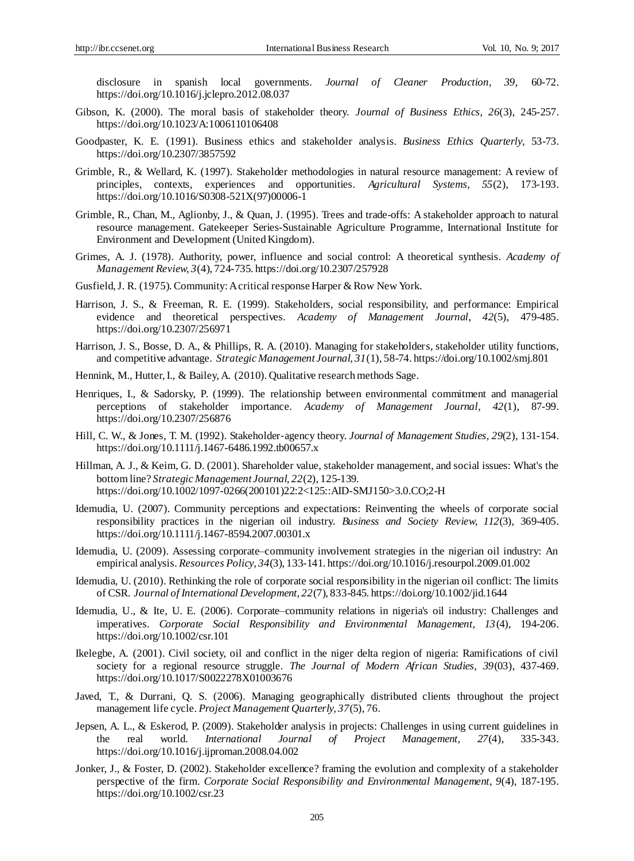disclosure in spanish local governments. *Journal of Cleaner Production, 39,* 60-72. https://doi.org/10.1016/j.jclepro.2012.08.037

- Gibson, K. (2000). The moral basis of stakeholder theory. *Journal of Business Ethics, 26*(3), 245-257. https://doi.org/10.1023/A:1006110106408
- Goodpaster, K. E. (1991). Business ethics and stakeholder analysis. *Business Ethics Quarterly,* 53-73. https://doi.org/10.2307/3857592
- Grimble, R., & Wellard, K. (1997). Stakeholder methodologies in natural resource management: A review of principles, contexts, experiences and opportunities. *Agricultural Systems, 55*(2), 173-193. https://doi.org/10.1016/S0308-521X(97)00006-1
- Grimble, R., Chan, M., Aglionby, J., & Quan, J. (1995). Trees and trade-offs: A stakeholder approach to natural resource management. Gatekeeper Series-Sustainable Agriculture Programme, International Institute for Environment and Development (United Kingdom).
- Grimes, A. J. (1978). Authority, power, influence and social control: A theoretical synthesis. *Academy of Management Review, 3*(4), 724-735. https://doi.org/10.2307/257928
- Gusfield, J. R. (1975). Community: A critical response Harper & Row New York.
- Harrison, J. S., & Freeman, R. E. (1999). Stakeholders, social responsibility, and performance: Empirical evidence and theoretical perspectives. *Academy of Management Journal, 42*(5), 479-485. https://doi.org/10.2307/256971
- Harrison, J. S., Bosse, D. A., & Phillips, R. A. (2010). Managing for stakeholders, stakeholder utility functions, and competitive advantage. *Strategic Management Journal, 31*(1), 58-74. https://doi.org/10.1002/smj.801
- Hennink, M., Hutter, I., & Bailey, A. (2010). Qualitative research methods Sage.
- Henriques, I., & Sadorsky, P. (1999). The relationship between environmental commitment and managerial perceptions of stakeholder importance. *Academy of Management Journal, 42*(1), 87-99. https://doi.org/10.2307/256876
- Hill, C. W., & Jones, T. M. (1992). Stakeholder‐agency theory. *Journal of Management Studies, 29*(2), 131-154. https://doi.org/10.1111/j.1467-6486.1992.tb00657.x
- Hillman, A. J., & Keim, G. D. (2001). Shareholder value, stakeholder management, and social issues: What's the bottom line? *Strategic Management Journal, 22*(2), 125-139. https://doi.org/10.1002/1097-0266(200101)22:2<125::AID-SMJ150>3.0.CO;2-H
- Idemudia, U. (2007). Community perceptions and expectations: Reinventing the wheels of corporate social responsibility practices in the nigerian oil industry. *Business and Society Review, 112*(3), 369-405. https://doi.org/10.1111/j.1467-8594.2007.00301.x
- Idemudia, U. (2009). Assessing corporate–community involvement strategies in the nigerian oil industry: An empirical analysis. *Resources Policy, 34*(3), 133-141. https://doi.org/10.1016/j.resourpol.2009.01.002
- Idemudia, U. (2010). Rethinking the role of corporate social responsibility in the nigerian oil conflict: The limits of CSR. *Journal of International Development, 22*(7), 833-845. https://doi.org/10.1002/jid.1644
- Idemudia, U., & Ite, U. E. (2006). Corporate–community relations in nigeria's oil industry: Challenges and imperatives. *Corporate Social Responsibility and Environmental Management, 13*(4), 194-206. https://doi.org/10.1002/csr.101
- Ikelegbe, A. (2001). Civil society, oil and conflict in the niger delta region of nigeria: Ramifications of civil society for a regional resource struggle. *The Journal of Modern African Studies, 39*(03), 437-469. https://doi.org/10.1017/S0022278X01003676
- Javed, T., & Durrani, Q. S. (2006). Managing geographically distributed clients throughout the project management life cycle. *Project Management Quarterly, 37*(5), 76.
- Jepsen, A. L., & Eskerod, P. (2009). Stakeholder analysis in projects: Challenges in using current guidelines in the real world. *International Journal of Project Management, 27*(4), 335-343. https://doi.org/10.1016/j.ijproman.2008.04.002
- Jonker, J., & Foster, D. (2002). Stakeholder excellence? framing the evolution and complexity of a stakeholder perspective of the firm. *Corporate Social Responsibility and Environmental Management, 9*(4), 187-195. https://doi.org/10.1002/csr.23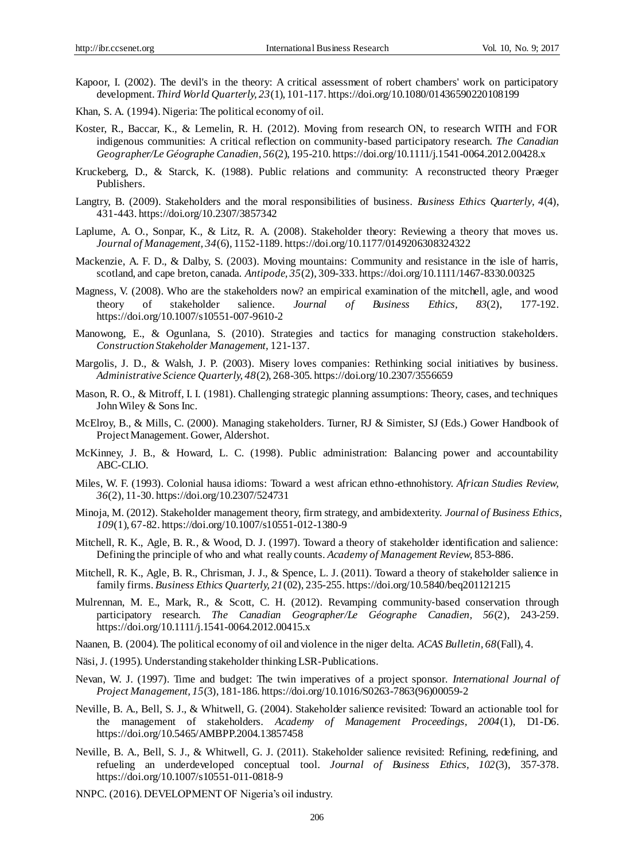- Kapoor, I. (2002). The devil's in the theory: A critical assessment of robert chambers' work on participatory development. *Third World Quarterly, 23*(1), 101-117. https://doi.org/10.1080/01436590220108199
- Khan, S. A. (1994). Nigeria: The political economy of oil.
- Koster, R., Baccar, K., & Lemelin, R. H. (2012). Moving from research ON, to research WITH and FOR indigenous communities: A critical reflection on community‐based participatory research. *The Canadian Geographer/Le Géographe Canadien, 56*(2), 195-210. https://doi.org/10.1111/j.1541-0064.2012.00428.x
- Kruckeberg, D., & Starck, K. (1988). Public relations and community: A reconstructed theory Praeger Publishers.
- Langtry, B. (2009). Stakeholders and the moral responsibilities of business. *Business Ethics Quarterly, 4*(4), 431-443. https://doi.org/10.2307/3857342
- Laplume, A. O., Sonpar, K., & Litz, R. A. (2008). Stakeholder theory: Reviewing a theory that moves us. *Journal of Management, 34*(6), 1152-1189. https://doi.org/10.1177/0149206308324322
- Mackenzie, A. F. D., & Dalby, S. (2003). Moving mountains: Community and resistance in the isle of harris, scotland, and cape breton, canada. *Antipode, 35*(2), 309-333. https://doi.org/10.1111/1467-8330.00325
- Magness, V. (2008). Who are the stakeholders now? an empirical examination of the mitchell, agle, and wood theory of stakeholder salience. *Journal of Business Ethics, 83*(2), 177-192. https://doi.org/10.1007/s10551-007-9610-2
- Manowong, E., & Ogunlana, S. (2010). Strategies and tactics for managing construction stakeholders. *Construction Stakeholder Management,* 121-137.
- Margolis, J. D., & Walsh, J. P. (2003). Misery loves companies: Rethinking social initiatives by business. *Administrative Science Quarterly, 48*(2), 268-305. https://doi.org/10.2307/3556659
- Mason, R. O., & Mitroff, I. I. (1981). Challenging strategic planning assumptions: Theory, cases, and techniques John Wiley & Sons Inc.
- McElroy, B., & Mills, C. (2000). Managing stakeholders. Turner, RJ & Simister, SJ (Eds.) Gower Handbook of Project Management. Gower, Aldershot.
- McKinney, J. B., & Howard, L. C. (1998). Public administration: Balancing power and accountability ABC-CLIO.
- Miles, W. F. (1993). Colonial hausa idioms: Toward a west african ethno-ethnohistory. *African Studies Review, 36*(2), 11-30. https://doi.org/10.2307/524731
- Minoja, M. (2012). Stakeholder management theory, firm strategy, and ambidexterity. *Journal of Business Ethics, 109*(1), 67-82. https://doi.org/10.1007/s10551-012-1380-9
- Mitchell, R. K., Agle, B. R., & Wood, D. J. (1997). Toward a theory of stakeholder identification and salience: Defining the principle of who and what really counts. *Academy of Management Review,* 853-886.
- Mitchell, R. K., Agle, B. R., Chrisman, J. J., & Spence, L. J. (2011). Toward a theory of stakeholder salience in family firms. *Business Ethics Quarterly, 21*(02), 235-255. https://doi.org/10.5840/beq201121215
- Mulrennan, M. E., Mark, R., & Scott, C. H. (2012). Revamping community-based conservation through participatory research. *The Canadian Geographer/Le Géographe Canadien, 56*(2), 243-259. https://doi.org/10.1111/j.1541-0064.2012.00415.x
- Naanen, B. (2004). The political economy of oil and violence in the niger delta. *ACAS Bulletin, 68*(Fall), 4.
- Näsi, J. (1995). Understanding stakeholder thinking LSR-Publications.
- Nevan, W. J. (1997). Time and budget: The twin imperatives of a project sponsor. *International Journal of Project Management, 15*(3), 181-186. https://doi.org/10.1016/S0263-7863(96)00059-2
- Neville, B. A., Bell, S. J., & Whitwell, G. (2004). Stakeholder salience revisited: Toward an actionable tool for the management of stakeholders. *Academy of Management Proceedings, 2004*(1), D1-D6. https://doi.org/10.5465/AMBPP.2004.13857458
- Neville, B. A., Bell, S. J., & Whitwell, G. J. (2011). Stakeholder salience revisited: Refining, redefining, and refueling an underdeveloped conceptual tool. *Journal of Business Ethics, 102*(3), 357-378. https://doi.org/10.1007/s10551-011-0818-9
- NNPC. (2016). DEVELOPMENT OF Nigeria's oil industry.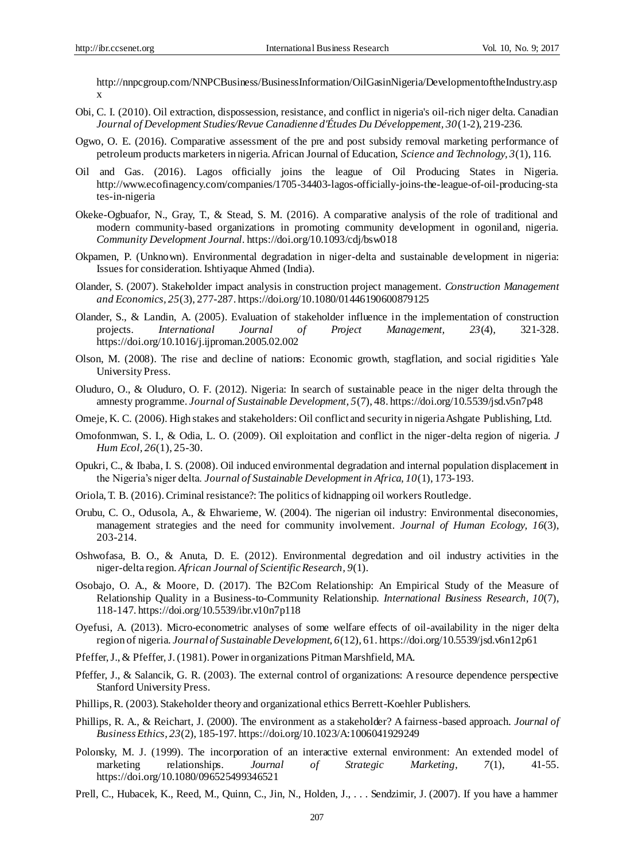[http://nnpcgroup.com/NNPCBusiness/BusinessInformation/OilGasinNigeria/DevelopmentoftheIndustry.asp](http://nnpcgroup.com/NNPCBusiness/BusinessInformation/OilGasinNigeria/DevelopmentoftheIndustry.aspx) [x](http://nnpcgroup.com/NNPCBusiness/BusinessInformation/OilGasinNigeria/DevelopmentoftheIndustry.aspx)

- Obi, C. I. (2010). Oil extraction, dispossession, resistance, and conflict in nigeria's oil-rich niger delta. Canadian *Journal of Development Studies/Revue Canadienne d'Études Du Développement, 30*(1-2), 219-236.
- Ogwo, O. E. (2016). Comparative assessment of the pre and post subsidy removal marketing performance of petroleum products marketers in nigeria. African Journal of Education, *Science and Technology, 3*(1), 116.
- Oil and Gas. (2016). Lagos officially joins the league of Oil Producing States in Nigeria. [http://www.ecofinagency.com/companies/1705-34403-lagos-officially-joins-the-league-of-oil-producing-sta](http://www.ecofinagency.com/companies/1705-34403-lagos-officially-joins-the-league-of-oil-producing-states-in-nigeria) [tes-in-nigeria](http://www.ecofinagency.com/companies/1705-34403-lagos-officially-joins-the-league-of-oil-producing-states-in-nigeria)
- Okeke-Ogbuafor, N., Gray, T., & Stead, S. M. (2016). A comparative analysis of the role of traditional and modern community-based organizations in promoting community development in ogoniland, nigeria. *Community Development Journal.* https://doi.org/10.1093/cdj/bsw018
- Okpamen, P. (Unknown). Environmental degradation in niger-delta and sustainable development in nigeria: Issues for consideration. Ishtiyaque Ahmed (India).
- Olander, S. (2007). Stakeholder impact analysis in construction project management. *Construction Management and Economics, 25*(3), 277-287. https://doi.org/10.1080/01446190600879125
- Olander, S., & Landin, A. (2005). Evaluation of stakeholder influence in the implementation of construction projects. *International Journal of Project Management, 23*(4), 321-328. https://doi.org/10.1016/j.ijproman.2005.02.002
- Olson, M. (2008). The rise and decline of nations: Economic growth, stagflation, and social rigidities Yale University Press.
- Oluduro, O., & Oluduro, O. F. (2012). Nigeria: In search of sustainable peace in the niger delta through the amnesty programme. *Journal of Sustainable Development, 5*(7), 48. https://doi.org/10.5539/jsd.v5n7p48
- Omeje, K. C. (2006). High stakes and stakeholders: Oil conflict and security in nigeria Ashgate Publishing, Ltd.
- Omofonmwan, S. I., & Odia, L. O. (2009). Oil exploitation and conflict in the niger-delta region of nigeria. *J Hum Ecol, 26*(1), 25-30.
- Opukri, C., & Ibaba, I. S. (2008). Oil induced environmental degradation and internal population displacement in the Nigeria's niger delta. *Journal of Sustainable Development in Africa, 10*(1), 173-193.
- Oriola, T. B. (2016). Criminal resistance?: The politics of kidnapping oil workers Routledge.
- Orubu, C. O., Odusola, A., & Ehwarieme, W. (2004). The nigerian oil industry: Environmental diseconomies, management strategies and the need for community involvement. *Journal of Human Ecology, 16*(3), 203-214.
- Oshwofasa, B. O., & Anuta, D. E. (2012). Environmental degredation and oil industry activities in the niger-delta region. *African Journal of Scientific Research, 9*(1).
- Osobajo, O. A., & Moore, D. (2017). The B2Com Relationship: An Empirical Study of the Measure of Relationship Quality in a Business-to-Community Relationship. *International Business Research, 10*(7), 118-147. https://doi.org/10.5539/ibr.v10n7p118
- Oyefusi, A. (2013). Micro-econometric analyses of some welfare effects of oil-availability in the niger delta region of nigeria. *Journal of Sustainable Development, 6*(12), 61. https://doi.org/10.5539/jsd.v6n12p61
- Pfeffer, J., & Pfeffer, J. (1981). Power in organizations Pitman Marshfield, MA.
- Pfeffer, J., & Salancik, G. R. (2003). The external control of organizations: A resource dependence perspective Stanford University Press.
- Phillips, R. (2003). Stakeholder theory and organizational ethics Berrett-Koehler Publishers.
- Phillips, R. A., & Reichart, J. (2000). The environment as a stakeholder? A fairness-based approach. *Journal of Business Ethics, 23*(2), 185-197. https://doi.org/10.1023/A:1006041929249
- Polonsky, M. J. (1999). The incorporation of an interactive external environment: An extended model of marketing relationships. *Journal of Strategic Marketing*, 7(1), 41-55. https://doi.org/10.1080/096525499346521
- Prell, C., Hubacek, K., Reed, M., Quinn, C., Jin, N., Holden, J., . . . Sendzimir, J. (2007). If you have a hammer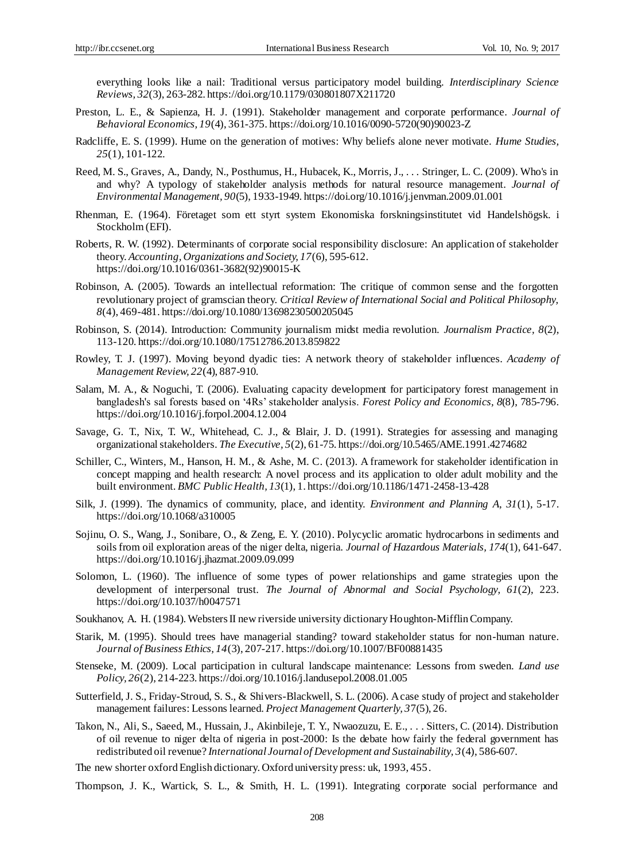everything looks like a nail: Traditional versus participatory model building. *Interdisciplinary Science Reviews, 32*(3), 263-282. https://doi.org/10.1179/030801807X211720

- Preston, L. E., & Sapienza, H. J. (1991). Stakeholder management and corporate performance. *Journal of Behavioral Economics, 19*(4), 361-375. https://doi.org/10.1016/0090-5720(90)90023-Z
- Radcliffe, E. S. (1999). Hume on the generation of motives: Why beliefs alone never motivate. *Hume Studies, 25*(1), 101-122.
- Reed, M. S., Graves, A., Dandy, N., Posthumus, H., Hubacek, K., Morris, J., . . . Stringer, L. C. (2009). Who's in and why? A typology of stakeholder analysis methods for natural resource management. *Journal of Environmental Management, 90*(5), 1933-1949. https://doi.org/10.1016/j.jenvman.2009.01.001
- Rhenman, E. (1964). Företaget som ett styrt system Ekonomiska forskningsinstitutet vid Handelshögsk. i Stockholm (EFI).
- Roberts, R. W. (1992). Determinants of corporate social responsibility disclosure: An application of stakeholder theory. *Accounting, Organizations and Society, 17*(6), 595-612. https://doi.org/10.1016/0361-3682(92)90015-K
- Robinson, A. (2005). Towards an intellectual reformation: The critique of common sense and the forgotten revolutionary project of gramscian theory. *Critical Review of International Social and Political Philosophy, 8*(4), 469-481. https://doi.org/10.1080/13698230500205045
- Robinson, S. (2014). Introduction: Community journalism midst media revolution. *Journalism Practice, 8*(2), 113-120. https://doi.org/10.1080/17512786.2013.859822
- Rowley, T. J. (1997). Moving beyond dyadic ties: A network theory of stakeholder influences. *Academy of Management Review, 22*(4), 887-910.
- Salam, M. A., & Noguchi, T. (2006). Evaluating capacity development for participatory forest management in bangladesh's sal forests based on '4Rs' stakeholder analysis. *Forest Policy and Economics, 8*(8), 785-796. https://doi.org/10.1016/j.forpol.2004.12.004
- Savage, G. T., Nix, T. W., Whitehead, C. J., & Blair, J. D. (1991). Strategies for assessing and managing organizational stakeholders*. The Executive, 5*(2), 61-75. https://doi.org/10.5465/AME.1991.4274682
- Schiller, C., Winters, M., Hanson, H. M., & Ashe, M. C. (2013). A framework for stakeholder identification in concept mapping and health research: A novel process and its application to older adult mobility and the built environment. *BMC Public Health, 13*(1), 1. https://doi.org/10.1186/1471-2458-13-428
- Silk, J. (1999). The dynamics of community, place, and identity. *Environment and Planning A, 31*(1), 5-17. https://doi.org/10.1068/a310005
- Sojinu, O. S., Wang, J., Sonibare, O., & Zeng, E. Y. (2010). Polycyclic aromatic hydrocarbons in sediments and soils from oil exploration areas of the niger delta, nigeria. *Journal of Hazardous Materials, 174*(1), 641-647. https://doi.org/10.1016/j.jhazmat.2009.09.099
- Solomon, L. (1960). The influence of some types of power relationships and game strategies upon the development of interpersonal trust. *The Journal of Abnormal and Social Psychology, 61*(2), 223. https://doi.org/10.1037/h0047571
- Soukhanov, A. H. (1984). Websters II new riverside university dictionary Houghton-Mifflin Company.
- Starik, M. (1995). Should trees have managerial standing? toward stakeholder status for non-human nature. *Journal of Business Ethics, 14*(3), 207-217. https://doi.org/10.1007/BF00881435
- Stenseke, M. (2009). Local participation in cultural landscape maintenance: Lessons from sweden. *Land use Policy, 26*(2), 214-223. https://doi.org/10.1016/j.landusepol.2008.01.005
- Sutterfield, J. S., Friday-Stroud, S. S., & Shivers-Blackwell, S. L. (2006). A case study of project and stakeholder management failures: Lessons learned. *Project Management Quarterly, 3*7(5), 26.
- Takon, N., Ali, S., Saeed, M., Hussain, J., Akinbileje, T. Y., Nwaozuzu, E. E., . . . Sitters, C. (2014). Distribution of oil revenue to niger delta of nigeria in post-2000: Is the debate how fairly the federal government has redistributed oil revenue? *International Journal of Development and Sustainability, 3*(4), 586-607.
- The new shorter oxford English dictionary. Oxford university press: uk, 1993, 455.

Thompson, J. K., Wartick, S. L., & Smith, H. L. (1991). Integrating corporate social performance and